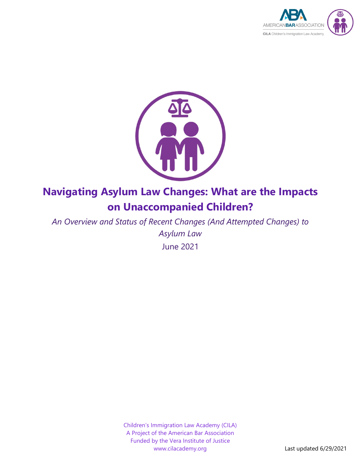



# **Navigating Asylum Law Changes: What are the Impacts on Unaccompanied Children?**

*An Overview and Status of Recent Changes (And Attempted Changes) to Asylum Law*

June 2021

Children's Immigration Law Academy (CILA) A Project of the American Bar Association Funded by the Vera Institute of Justice www.cilacademy.org Last updated 6/29/2021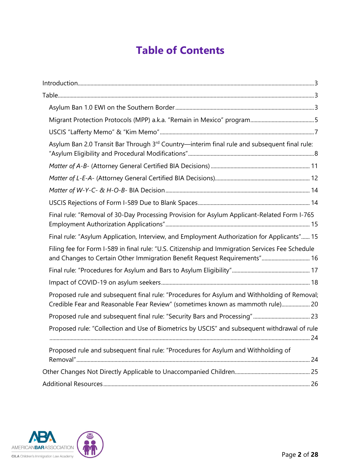# **Table of Contents**

| Asylum Ban 2.0 Transit Bar Through 3rd Country—interim final rule and subsequent final rule:                                                                                  |  |
|-------------------------------------------------------------------------------------------------------------------------------------------------------------------------------|--|
|                                                                                                                                                                               |  |
|                                                                                                                                                                               |  |
|                                                                                                                                                                               |  |
|                                                                                                                                                                               |  |
| Final rule: "Removal of 30-Day Processing Provision for Asylum Applicant-Related Form I-765                                                                                   |  |
| Final rule: "Asylum Application, Interview, and Employment Authorization for Applicants" 15                                                                                   |  |
| Filing fee for Form I-589 in final rule: "U.S. Citizenship and Immigration Services Fee Schedule<br>and Changes to Certain Other Immigration Benefit Request Requirements" 16 |  |
|                                                                                                                                                                               |  |
|                                                                                                                                                                               |  |
| Proposed rule and subsequent final rule: "Procedures for Asylum and Withholding of Removal;<br>Credible Fear and Reasonable Fear Review" (sometimes known as mammoth rule) 20 |  |
|                                                                                                                                                                               |  |
| Proposed rule: "Collection and Use of Biometrics by USCIS" and subsequent withdrawal of rule                                                                                  |  |
| Proposed rule and subsequent final rule: "Procedures for Asylum and Withholding of                                                                                            |  |
|                                                                                                                                                                               |  |
|                                                                                                                                                                               |  |
|                                                                                                                                                                               |  |

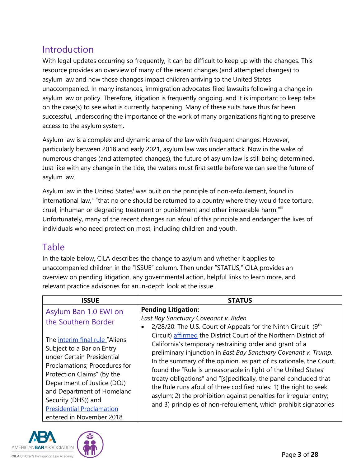### <span id="page-2-0"></span>Introduction

With legal updates occurring so frequently, it can be difficult to keep up with the changes. This resource provides an overview of many of the recent changes (and attempted changes) to asylum law and how those changes impact children arriving to the United States unaccompanied. In many instances, immigration advocates filed lawsuits following a change in asylum law or policy. Therefore, litigation is frequently ongoing, and it is important to keep tabs on the case(s) to see what is currently happening. Many of these suits have thus far been successful, underscoring the importance of the work of many organizations fighting to preserve access to the asylum system.

Asylum law is a complex and dynamic area of the law with frequent changes. However, particularly between 2018 and early 2021, asylum law was under attack. Now in the wake of numerous changes (and attempted changes), the future of asylum law is still being determined. Just like with any change in the tide, the waters must first settle before we can see the future of asylum law.

Asylum law [i](#page-25-1)n the United States<sup>i</sup> was built on the principle of non-refoulement, found in international law,<sup>[ii](#page-25-2)</sup> "that no one should be returned to a country where they would face torture, cruel, inhuman or degrading treatment or punishment and other irreparable harm."[iii](#page-25-3) Unfortunately, many of the recent changes run afoul of this principle and endanger the lives of individuals who need protection most, including children and youth.

#### <span id="page-2-1"></span>Table

In the table below, CILA describes the change to asylum and whether it applies to unaccompanied children in the "ISSUE" column. Then under "STATUS," CILA provides an overview on pending litigation, any governmental action, helpful links to learn more, and relevant practice advisories for an in-depth look at the issue.

<span id="page-2-2"></span>

| <b>ISSUE</b>                                                                                                                                                                                                                                                               | <b>STATUS</b>                                                                                                                                                                                                                                                                                                                                                                                                                                                                                                                                         |
|----------------------------------------------------------------------------------------------------------------------------------------------------------------------------------------------------------------------------------------------------------------------------|-------------------------------------------------------------------------------------------------------------------------------------------------------------------------------------------------------------------------------------------------------------------------------------------------------------------------------------------------------------------------------------------------------------------------------------------------------------------------------------------------------------------------------------------------------|
| Asylum Ban 1.0 EWI on<br>the Southern Border<br>The interim final rule "Aliens                                                                                                                                                                                             | <b>Pending Litigation:</b><br><b>East Bay Sanctuary Covenant v. Biden</b><br>$2/28/20$ : The U.S. Court of Appeals for the Ninth Circuit $(9th)$<br>Circuit) affirmed the District Court of the Northern District of                                                                                                                                                                                                                                                                                                                                  |
| Subject to a Bar on Entry<br>under Certain Presidential<br>Proclamations; Procedures for<br>Protection Claims" (by the<br>Department of Justice (DOJ)<br>and Department of Homeland<br>Security (DHS)) and<br><b>Presidential Proclamation</b><br>entered in November 2018 | California's temporary restraining order and grant of a<br>preliminary injunction in East Bay Sanctuary Covenant v. Trump.<br>In the summary of the opinion, as part of its rationale, the Court<br>found the "Rule is unreasonable in light of the United States'<br>treaty obligations" and "[s]pecifically, the panel concluded that<br>the Rule runs afoul of three codified rules: 1) the right to seek<br>asylum; 2) the prohibition against penalties for irregular entry;<br>and 3) principles of non-refoulement, which prohibit signatories |

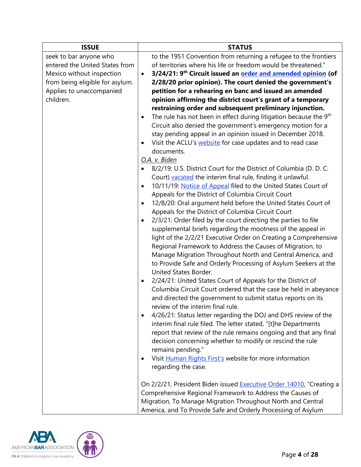| <b>ISSUE</b>                    | <b>STATUS</b>                                                                              |
|---------------------------------|--------------------------------------------------------------------------------------------|
| seek to bar anyone who          | to the 1951 Convention from returning a refugee to the frontiers                           |
| entered the United States from  | of territories where his life or freedom would be threatened."                             |
| Mexico without inspection       | 3/24/21: 9 <sup>th</sup> Circuit issued an order and amended opinion (of<br>$\bullet$      |
| from being eligible for asylum. | 2/28/20 prior opinion). The court denied the government's                                  |
| Applies to unaccompanied        | petition for a rehearing en banc and issued an amended                                     |
| children.                       | opinion affirming the district court's grant of a temporary                                |
|                                 | restraining order and subsequent preliminary injunction.                                   |
|                                 | The rule has not been in effect during litigation because the 9 <sup>th</sup><br>$\bullet$ |
|                                 | Circuit also denied the government's emergency motion for a                                |
|                                 | stay pending appeal in an opinion issued in December 2018.                                 |
|                                 | Visit the ACLU's website for case updates and to read case<br>$\bullet$                    |
|                                 | documents.                                                                                 |
|                                 | O.A. v. Biden                                                                              |
|                                 | 8/2/19: U.S. District Court for the District of Columbia (D. D. C.                         |
|                                 | Court) vacated the interim final rule, finding it unlawful.                                |
|                                 | 10/11/19: Notice of Appeal filed to the United States Court of<br>$\bullet$                |
|                                 | Appeals for the District of Columbia Circuit Court                                         |
|                                 | 12/8/20: Oral argument held before the United States Court of<br>$\bullet$                 |
|                                 | Appeals for the District of Columbia Circuit Court                                         |
|                                 | 2/3/21: Order filed by the court directing the parties to file<br>$\bullet$                |
|                                 | supplemental briefs regarding the mootness of the appeal in                                |
|                                 | light of the 2/2/21 Executive Order on Creating a Comprehensive                            |
|                                 | Regional Framework to Address the Causes of Migration, to                                  |
|                                 | Manage Migration Throughout North and Central America, and                                 |
|                                 | to Provide Safe and Orderly Processing of Asylum Seekers at the<br>United States Border.   |
|                                 | 2/24/21: United States Court of Appeals for the District of                                |
|                                 | $\bullet$<br>Columbia Circuit Court ordered that the case be held in abeyance              |
|                                 | and directed the government to submit status reports on its                                |
|                                 | review of the interim final rule.                                                          |
|                                 | 4/26/21: Status letter regarding the DOJ and DHS review of the<br>٠                        |
|                                 | interim final rule filed. The letter stated, "[t]he Departments                            |
|                                 | report that review of the rule remains ongoing and that any final                          |
|                                 | decision concerning whether to modify or rescind the rule                                  |
|                                 | remains pending."                                                                          |
|                                 | Visit Human Rights First's website for more information<br>٠                               |
|                                 | regarding the case.                                                                        |
|                                 |                                                                                            |
|                                 | On 2/2/21, President Biden issued Executive Order 14010, "Creating a                       |
|                                 | Comprehensive Regional Framework to Address the Causes of                                  |
|                                 | Migration, To Manage Migration Throughout North and Central                                |
|                                 | America, and To Provide Safe and Orderly Processing of Asylum                              |

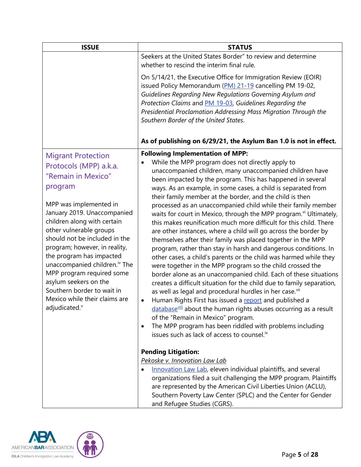<span id="page-4-0"></span>

| <b>ISSUE</b>                                                                                                                                                                                                                                                                                                                                                                                                                                                                                         | <b>STATUS</b>                                                                                                                                                                                                                                                                                                                                                                                                                                                                                                                                                                                                                                                                                                                                                                                                                                                                                                                                                                                                                                                                                                                                                                                                                                                                                                                                                                                                                                                                                                                                                                                                                                                                                                               |
|------------------------------------------------------------------------------------------------------------------------------------------------------------------------------------------------------------------------------------------------------------------------------------------------------------------------------------------------------------------------------------------------------------------------------------------------------------------------------------------------------|-----------------------------------------------------------------------------------------------------------------------------------------------------------------------------------------------------------------------------------------------------------------------------------------------------------------------------------------------------------------------------------------------------------------------------------------------------------------------------------------------------------------------------------------------------------------------------------------------------------------------------------------------------------------------------------------------------------------------------------------------------------------------------------------------------------------------------------------------------------------------------------------------------------------------------------------------------------------------------------------------------------------------------------------------------------------------------------------------------------------------------------------------------------------------------------------------------------------------------------------------------------------------------------------------------------------------------------------------------------------------------------------------------------------------------------------------------------------------------------------------------------------------------------------------------------------------------------------------------------------------------------------------------------------------------------------------------------------------------|
|                                                                                                                                                                                                                                                                                                                                                                                                                                                                                                      | Seekers at the United States Border" to review and determine<br>whether to rescind the interim final rule.                                                                                                                                                                                                                                                                                                                                                                                                                                                                                                                                                                                                                                                                                                                                                                                                                                                                                                                                                                                                                                                                                                                                                                                                                                                                                                                                                                                                                                                                                                                                                                                                                  |
|                                                                                                                                                                                                                                                                                                                                                                                                                                                                                                      | On 5/14/21, the Executive Office for Immigration Review (EOIR)<br>issued Policy Memorandum (PM) 21-19 cancelling PM 19-02,<br>Guidelines Regarding New Regulations Governing Asylum and<br>Protection Claims and PM 19-03, Guidelines Regarding the<br>Presidential Proclamation Addressing Mass Migration Through the<br>Southern Border of the United States.                                                                                                                                                                                                                                                                                                                                                                                                                                                                                                                                                                                                                                                                                                                                                                                                                                                                                                                                                                                                                                                                                                                                                                                                                                                                                                                                                             |
|                                                                                                                                                                                                                                                                                                                                                                                                                                                                                                      | As of publishing on 6/29/21, the Asylum Ban 1.0 is not in effect.                                                                                                                                                                                                                                                                                                                                                                                                                                                                                                                                                                                                                                                                                                                                                                                                                                                                                                                                                                                                                                                                                                                                                                                                                                                                                                                                                                                                                                                                                                                                                                                                                                                           |
| <b>Migrant Protection</b><br>Protocols (MPP) a.k.a.<br>"Remain in Mexico"<br>program<br>MPP was implemented in<br>January 2019. Unaccompanied<br>children along with certain<br>other vulnerable groups<br>should not be included in the<br>program; however, in reality,<br>the program has impacted<br>unaccompanied children. <sup>iv</sup> The<br>MPP program required some<br>asylum seekers on the<br>Southern border to wait in<br>Mexico while their claims are<br>adjudicated. <sup>v</sup> | <b>Following Implementation of MPP:</b><br>While the MPP program does not directly apply to<br>unaccompanied children, many unaccompanied children have<br>been impacted by the program. This has happened in several<br>ways. As an example, in some cases, a child is separated from<br>their family member at the border, and the child is then<br>processed as an unaccompanied child while their family member<br>waits for court in Mexico, through the MPP program. <sup>vi</sup> Ultimately,<br>this makes reunification much more difficult for this child. There<br>are other instances, where a child will go across the border by<br>themselves after their family was placed together in the MPP<br>program, rather than stay in harsh and dangerous conditions. In<br>other cases, a child's parents or the child was harmed while they<br>were together in the MPP program so the child crossed the<br>border alone as an unaccompanied child. Each of these situations<br>creates a difficult situation for the child due to family separation,<br>as well as legal and procedural hurdles in her case. <sup>vii</sup><br>Human Rights First has issued a report and published a<br>$\bullet$<br>database vill about the human rights abuses occurring as a result<br>of the "Remain in Mexico" program.<br>The MPP program has been riddled with problems including<br>٠<br>issues such as lack of access to counsel. <sup>ix</sup><br><b>Pending Litigation:</b><br>Pekoske v. Innovation Law Lab<br>Innovation Law Lab, eleven individual plaintiffs, and several<br>organizations filed a suit challenging the MPP program. Plaintiffs<br>are represented by the American Civil Liberties Union (ACLU), |
|                                                                                                                                                                                                                                                                                                                                                                                                                                                                                                      | Southern Poverty Law Center (SPLC) and the Center for Gender<br>and Refugee Studies (CGRS).                                                                                                                                                                                                                                                                                                                                                                                                                                                                                                                                                                                                                                                                                                                                                                                                                                                                                                                                                                                                                                                                                                                                                                                                                                                                                                                                                                                                                                                                                                                                                                                                                                 |

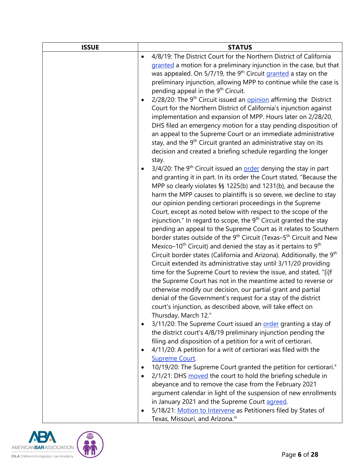| <b>ISSUE</b> | <b>STATUS</b>                                                                                                                     |
|--------------|-----------------------------------------------------------------------------------------------------------------------------------|
|              | 4/8/19: The District Court for the Northern District of California<br>$\bullet$                                                   |
|              | granted a motion for a preliminary injunction in the case, but that                                                               |
|              | was appealed. On 5/7/19, the 9 <sup>th</sup> Circuit granted a stay on the                                                        |
|              | preliminary injunction, allowing MPP to continue while the case is                                                                |
|              | pending appeal in the 9 <sup>th</sup> Circuit.                                                                                    |
|              | 2/28/20: The 9 <sup>th</sup> Circuit issued an opinion affirming the District                                                     |
|              | Court for the Northern District of California's injunction against                                                                |
|              | implementation and expansion of MPP. Hours later on 2/28/20,                                                                      |
|              | DHS filed an emergency motion for a stay pending disposition of                                                                   |
|              | an appeal to the Supreme Court or an immediate administrative                                                                     |
|              | stay, and the 9 <sup>th</sup> Circuit granted an administrative stay on its                                                       |
|              | decision and created a briefing schedule regarding the longer                                                                     |
|              | stay.<br>$3/4/20$ : The 9 <sup>th</sup> Circuit issued an order denying the stay in part<br>$\bullet$                             |
|              | and granting it in part. In its order the Court stated, "Because the                                                              |
|              | MPP so clearly violates §§ 1225(b) and 1231(b), and because the                                                                   |
|              | harm the MPP causes to plaintiffs is so severe, we decline to stay                                                                |
|              | our opinion pending certiorari proceedings in the Supreme                                                                         |
|              | Court, except as noted below with respect to the scope of the                                                                     |
|              | injunction." In regard to scope, the 9 <sup>th</sup> Circuit granted the stay                                                     |
|              | pending an appeal to the Supreme Court as it relates to Southern                                                                  |
|              | border states outside of the 9 <sup>th</sup> Circuit (Texas–5 <sup>th</sup> Circuit and New                                       |
|              | Mexico-10 <sup>th</sup> Circuit) and denied the stay as it pertains to $9th$                                                      |
|              | Circuit border states (California and Arizona). Additionally, the 9 <sup>th</sup>                                                 |
|              | Circuit extended its administrative stay until 3/11/20 providing                                                                  |
|              | time for the Supreme Court to review the issue, and stated, "[i]f                                                                 |
|              | the Supreme Court has not in the meantime acted to reverse or                                                                     |
|              | otherwise modify our decision, our partial grant and partial                                                                      |
|              | denial of the Government's request for a stay of the district                                                                     |
|              | court's injunction, as described above, will take effect on                                                                       |
|              | Thursday, March 12."                                                                                                              |
|              | 3/11/20: The Supreme Court issued an order granting a stay of<br>$\bullet$                                                        |
|              | the district court's 4/8/19 preliminary injunction pending the                                                                    |
|              | filing and disposition of a petition for a writ of certiorari.<br>4/11/20: A petition for a writ of certiorari was filed with the |
|              | $\bullet$<br><b>Supreme Court.</b>                                                                                                |
|              | 10/19/20: The Supreme Court granted the petition for certiorari. <sup>x</sup>                                                     |
|              | 2/1/21: DHS moved the court to hold the briefing schedule in<br>$\bullet$                                                         |
|              | abeyance and to remove the case from the February 2021                                                                            |
|              | argument calendar in light of the suspension of new enrollments                                                                   |
|              | in January 2021 and the Supreme Court agreed.                                                                                     |
|              | 5/18/21: Motion to Intervene as Petitioners filed by States of<br>٠                                                               |
|              | Texas, Missouri, and Arizona. <sup>xi</sup>                                                                                       |

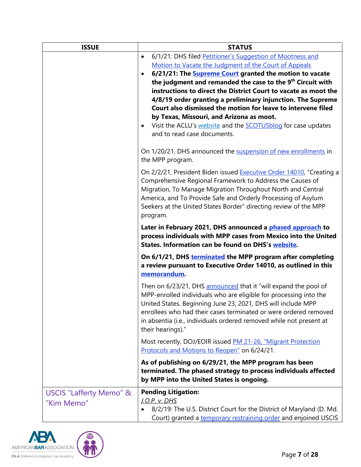| <b>ISSUE</b>            | <b>STATUS</b>                                                                                                                                |
|-------------------------|----------------------------------------------------------------------------------------------------------------------------------------------|
|                         | 6/1/21: DHS filed Petitioner's Suggestion of Mootness and<br>$\bullet$                                                                       |
|                         | Motion to Vacate the Judgment of the Court of Appeals                                                                                        |
|                         | 6/21/21: The <b>Supreme Court granted the motion to vacate</b>                                                                               |
|                         | the judgment and remanded the case to the 9 <sup>th</sup> Circuit with                                                                       |
|                         | instructions to direct the District Court to vacate as moot the                                                                              |
|                         | 4/8/19 order granting a preliminary injunction. The Supreme                                                                                  |
|                         | Court also dismissed the motion for leave to intervene filed                                                                                 |
|                         | by Texas, Missouri, and Arizona as moot.<br>Visit the ACLU's website and the SCOTUSblog for case updates<br>$\bullet$                        |
|                         | and to read case documents.                                                                                                                  |
|                         | On 1/20/21, DHS announced the suspension of new enrollments in                                                                               |
|                         | the MPP program.                                                                                                                             |
|                         | On 2/2/21, President Biden issued Executive Order 14010, "Creating a                                                                         |
|                         | Comprehensive Regional Framework to Address the Causes of                                                                                    |
|                         | Migration, To Manage Migration Throughout North and Central                                                                                  |
|                         | America, and To Provide Safe and Orderly Processing of Asylum                                                                                |
|                         | Seekers at the United States Border" directing review of the MPP                                                                             |
|                         | program.                                                                                                                                     |
|                         | Later in February 2021, DHS announced a phased approach to                                                                                   |
|                         | process individuals with MPP cases from Mexico into the United<br>States. Information can be found on DHS's website.                         |
|                         | On 6/1/21, DHS terminated the MPP program after completing<br>a review pursuant to Executive Order 14010, as outlined in this<br>memorandum. |
|                         | Then on 6/23/21, DHS announced that it "will expand the pool of                                                                              |
|                         | MPP-enrolled individuals who are eligible for processing into the                                                                            |
|                         | United States. Beginning June 23, 2021, DHS will include MPP                                                                                 |
|                         | enrollees who had their cases terminated or were ordered removed                                                                             |
|                         | in absentia (i.e., individuals ordered removed while not present at<br>their hearings)."                                                     |
|                         | Most recently, DOJ/EOIR issued PM 21-26, "Migrant Protection                                                                                 |
|                         | Protocols and Motions to Reopen" on 6/24/21.                                                                                                 |
|                         | As of publishing on 6/29/21, the MPP program has been                                                                                        |
|                         | terminated. The phased strategy to process individuals affected<br>by MPP into the United States is ongoing.                                 |
|                         | <b>Pending Litigation:</b>                                                                                                                   |
| USCIS "Lafferty Memo" & | <u>J.O.P. v. DHS</u>                                                                                                                         |
| "Kim Memo"              | 8/2/19: The U.S. District Court for the District of Maryland (D. Md.                                                                         |
|                         | Court) granted a temporary restraining order and enjoined USCIS                                                                              |

<span id="page-6-0"></span>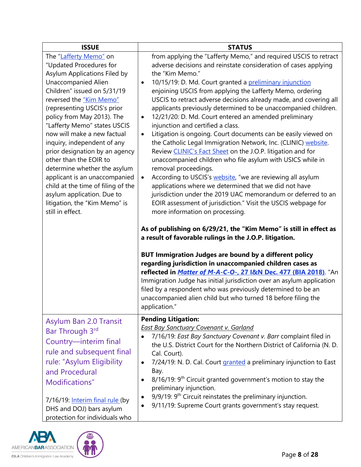| <b>ISSUE</b>                                                                                                                                                                                                                                                                                                                                                                                                                                                                                                                                                                               | <b>STATUS</b>                                                                                                                                                                                                                                                                                                                                                                                                                                                                                                                                                                                                                                                                                                                                                                                                                                                                                                                                                                                                                                                                                                                                                                                                                                                                                                                                                                                                                                                                                                                                                                                                                                                                                                                    |
|--------------------------------------------------------------------------------------------------------------------------------------------------------------------------------------------------------------------------------------------------------------------------------------------------------------------------------------------------------------------------------------------------------------------------------------------------------------------------------------------------------------------------------------------------------------------------------------------|----------------------------------------------------------------------------------------------------------------------------------------------------------------------------------------------------------------------------------------------------------------------------------------------------------------------------------------------------------------------------------------------------------------------------------------------------------------------------------------------------------------------------------------------------------------------------------------------------------------------------------------------------------------------------------------------------------------------------------------------------------------------------------------------------------------------------------------------------------------------------------------------------------------------------------------------------------------------------------------------------------------------------------------------------------------------------------------------------------------------------------------------------------------------------------------------------------------------------------------------------------------------------------------------------------------------------------------------------------------------------------------------------------------------------------------------------------------------------------------------------------------------------------------------------------------------------------------------------------------------------------------------------------------------------------------------------------------------------------|
| The "Lafferty Memo" on<br>"Updated Procedures for<br>Asylum Applications Filed by<br><b>Unaccompanied Alien</b><br>Children" issued on 5/31/19<br>reversed the "Kim Memo"<br>(representing USCIS's prior<br>policy from May 2013). The<br>"Lafferty Memo" states USCIS<br>now will make a new factual<br>inquiry, independent of any<br>prior designation by an agency<br>other than the EOIR to<br>determine whether the asylum<br>applicant is an unaccompanied<br>child at the time of filing of the<br>asylum application. Due to<br>litigation, the "Kim Memo" is<br>still in effect. | from applying the "Lafferty Memo," and required USCIS to retract<br>adverse decisions and reinstate consideration of cases applying<br>the "Kim Memo."<br>10/15/19: D. Md. Court granted a preliminary injunction<br>$\bullet$<br>enjoining USCIS from applying the Lafferty Memo, ordering<br>USCIS to retract adverse decisions already made, and covering all<br>applicants previously determined to be unaccompanied children.<br>12/21/20: D. Md. Court entered an amended preliminary<br>$\bullet$<br>injunction and certified a class.<br>Litigation is ongoing. Court documents can be easily viewed on<br>$\bullet$<br>the Catholic Legal Immigration Network, Inc. (CLINIC) website.<br>Review CLINIC's Fact Sheet on the J.O.P. litigation and for<br>unaccompanied children who file asylum with USICS while in<br>removal proceedings.<br>According to USCIS's website, "we are reviewing all asylum<br>$\bullet$<br>applications where we determined that we did not have<br>jurisdiction under the 2019 UAC memorandum or deferred to an<br>EOIR assessment of jurisdiction." Visit the USCIS webpage for<br>more information on processing.<br>As of publishing on 6/29/21, the "Kim Memo" is still in effect as<br>a result of favorable rulings in the J.O.P. litigation.<br><b>BUT Immigration Judges are bound by a different policy</b><br>regarding jurisdiction in unaccompanied children cases as<br>reflected in <i>Matter of M-A-C-O-</i> , 27 I&N Dec. 477 (BIA 2018). "An<br>Immigration Judge has initial jurisdiction over an asylum application<br>filed by a respondent who was previously determined to be an<br>unaccompanied alien child but who turned 18 before filing the<br>application." |
| Asylum Ban 2.0 Transit<br>Bar Through 3rd<br>Country-interim final<br>rule and subsequent final<br>rule: "Asylum Eligibility<br>and Procedural<br>Modifications"<br>7/16/19: Interim final rule (by<br>DHS and DOJ) bars asylum<br>protection for individuals who                                                                                                                                                                                                                                                                                                                          | <b>Pending Litigation:</b><br><b>East Bay Sanctuary Covenant v. Garland</b><br>7/16/19: East Bay Sanctuary Covenant v. Barr complaint filed in<br>the U.S. District Court for the Northern District of California (N. D.<br>Cal. Court).<br>7/24/19: N. D. Cal. Court granted a preliminary injunction to East<br>$\bullet$<br>Bay.<br>$8/16/19$ : 9 <sup>th</sup> Circuit granted government's motion to stay the<br>٠<br>preliminary injunction.<br>9/9/19: 9 <sup>th</sup> Circuit reinstates the preliminary injunction.<br>٠<br>9/11/19: Supreme Court grants government's stay request.<br>$\bullet$                                                                                                                                                                                                                                                                                                                                                                                                                                                                                                                                                                                                                                                                                                                                                                                                                                                                                                                                                                                                                                                                                                                       |

<span id="page-7-0"></span>

44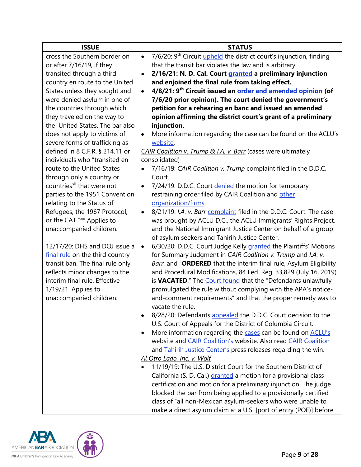| <b>ISSUE</b>                           | <b>STATUS</b>                                                                                       |
|----------------------------------------|-----------------------------------------------------------------------------------------------------|
| cross the Southern border on           | 7/6/20: 9 <sup>th</sup> Circuit <i>upheld</i> the district court's injunction, finding<br>$\bullet$ |
| or after 7/16/19, if they              | that the transit bar violates the law and is arbitrary.                                             |
| transited through a third              | 2/16/21: N. D. Cal. Court granted a preliminary injunction<br>٠                                     |
| country en route to the United         | and enjoined the final rule from taking effect.                                                     |
| States unless they sought and          | 4/8/21: 9 <sup>th</sup> Circuit issued an <b>order and amended opinion</b> (of<br>$\bullet$         |
| were denied asylum in one of           | 7/6/20 prior opinion). The court denied the government's                                            |
| the countries through which            | petition for a rehearing en banc and issued an amended                                              |
| they traveled on the way to            | opinion affirming the district court's grant of a preliminary                                       |
| the United States. The bar also        | injunction.                                                                                         |
| does not apply to victims of           | More information regarding the case can be found on the ACLU's<br>٠                                 |
| severe forms of trafficking as         | website.                                                                                            |
| defined in 8 C.F.R. § 214.11 or        | CAIR Coalition v. Trump & I.A. v. Barr (cases were ultimately                                       |
| individuals who "transited en          | consolidated)                                                                                       |
| route to the United States             | 7/16/19: CAIR Coalition v. Trump complaint filed in the D.D.C.<br>$\bullet$                         |
| through only a country or              | Court.                                                                                              |
| countries <sup>xii</sup> that were not | 7/24/19: D.D.C. Court denied the motion for temporary<br>$\bullet$                                  |
| parties to the 1951 Convention         | restraining order filed by CAIR Coalition and other                                                 |
| relating to the Status of              | organization/firms.                                                                                 |
| Refugees, the 1967 Protocol,           | 8/21/19: I.A. v. Barr complaint filed in the D.D.C. Court. The case<br>$\bullet$                    |
| or the CAT."xiii Applies to            | was brought by ACLU D.C., the ACLU Immigrants' Rights Project,                                      |
| unaccompanied children.                | and the National Immigrant Justice Center on behalf of a group                                      |
|                                        | of asylum seekers and Tahirih Justice Center.                                                       |
| 12/17/20: DHS and DOJ issue a          | 6/30/20: D.D.C. Court Judge Kelly granted the Plaintiffs' Motions<br>$\bullet$                      |
| final rule on the third country        | for Summary Judgment in CAIR Coalition v. Trump and I.A. v.                                         |
| transit ban. The final rule only       | Barr, and "ORDERED that the interim final rule, Asylum Eligibility                                  |
| reflects minor changes to the          | and Procedural Modifications, 84 Fed. Reg. 33,829 (July 16, 2019)                                   |
| interim final rule. Effective          | is VACATED." The Court found that the "Defendants unlawfully                                        |
| 1/19/21. Applies to                    | promulgated the rule without complying with the APA's notice-                                       |
| unaccompanied children.                | and-comment requirements" and that the proper remedy was to                                         |
|                                        | vacate the rule.                                                                                    |
|                                        | 8/28/20: Defendants appealed the D.D.C. Court decision to the<br>$\bullet$                          |
|                                        | U.S. Court of Appeals for the District of Columbia Circuit.                                         |
|                                        | More information regarding the cases can be found on ACLU's<br>$\bullet$                            |
|                                        | website and <b>CAIR Coalition's</b> website. Also read <b>CAIR Coalition</b>                        |
|                                        | and Tahirih Justice Center's press releases regarding the win.                                      |
|                                        | Al Otro Lado, Inc. v. Wolf                                                                          |
|                                        | 11/19/19: The U.S. District Court for the Southern District of                                      |
|                                        | California (S. D. Cal.) granted a motion for a provisional class                                    |
|                                        | certification and motion for a preliminary injunction. The judge                                    |
|                                        | blocked the bar from being applied to a provisionally certified                                     |
|                                        | class of "all non-Mexican asylum-seekers who were unable to                                         |
|                                        | make a direct asylum claim at a U.S. [port of entry (POE)] before                                   |

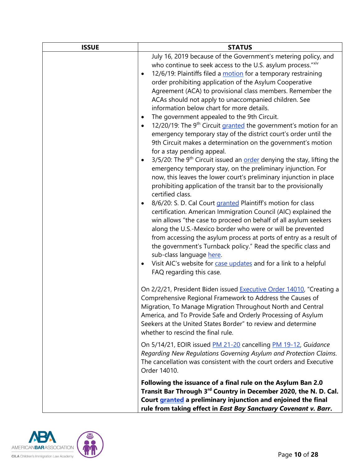| <b>ISSUE</b> | <b>STATUS</b>                                                                                                                                                                                                                                                                                                                                                                                                                                                                                                                                                                                                                                                                                                                                                                                                                                                                                                                                                                                                                                                                                                                                                                                                                                                                                                                                                                                                                                                                                                                                                                                                                               |
|--------------|---------------------------------------------------------------------------------------------------------------------------------------------------------------------------------------------------------------------------------------------------------------------------------------------------------------------------------------------------------------------------------------------------------------------------------------------------------------------------------------------------------------------------------------------------------------------------------------------------------------------------------------------------------------------------------------------------------------------------------------------------------------------------------------------------------------------------------------------------------------------------------------------------------------------------------------------------------------------------------------------------------------------------------------------------------------------------------------------------------------------------------------------------------------------------------------------------------------------------------------------------------------------------------------------------------------------------------------------------------------------------------------------------------------------------------------------------------------------------------------------------------------------------------------------------------------------------------------------------------------------------------------------|
|              | July 16, 2019 because of the Government's metering policy, and<br>who continue to seek access to the U.S. asylum process."Xiv<br>12/6/19: Plaintiffs filed a motion for a temporary restraining<br>order prohibiting application of the Asylum Cooperative<br>Agreement (ACA) to provisional class members. Remember the<br>ACAs should not apply to unaccompanied children. See<br>information below chart for more details.<br>The government appealed to the 9th Circuit.<br>٠<br>12/20/19: The 9 <sup>th</sup> Circuit granted the government's motion for an<br>$\bullet$<br>emergency temporary stay of the district court's order until the<br>9th Circuit makes a determination on the government's motion<br>for a stay pending appeal.<br>3/5/20: The 9 <sup>th</sup> Circuit issued an <b>order</b> denying the stay, lifting the<br>$\bullet$<br>emergency temporary stay, on the preliminary injunction. For<br>now, this leaves the lower court's preliminary injunction in place<br>prohibiting application of the transit bar to the provisionally<br>certified class.<br>8/6/20: S. D. Cal Court granted Plaintiff's motion for class<br>$\bullet$<br>certification. American Immigration Council (AIC) explained the<br>win allows "the case to proceed on behalf of all asylum seekers<br>along the U.S.-Mexico border who were or will be prevented<br>from accessing the asylum process at ports of entry as a result of<br>the government's Turnback policy." Read the specific class and<br>sub-class language here.<br>Visit AIC's website for case updates and for a link to a helpful<br>FAQ regarding this case. |
|              | On 2/2/21, President Biden issued Executive Order 14010, "Creating a<br>Comprehensive Regional Framework to Address the Causes of<br>Migration, To Manage Migration Throughout North and Central<br>America, and To Provide Safe and Orderly Processing of Asylum<br>Seekers at the United States Border" to review and determine<br>whether to rescind the final rule.                                                                                                                                                                                                                                                                                                                                                                                                                                                                                                                                                                                                                                                                                                                                                                                                                                                                                                                                                                                                                                                                                                                                                                                                                                                                     |
|              | On 5/14/21, EOIR issued PM 21-20 cancelling PM 19-12, Guidance<br>Regarding New Regulations Governing Asylum and Protection Claims.<br>The cancellation was consistent with the court orders and Executive<br>Order 14010.                                                                                                                                                                                                                                                                                                                                                                                                                                                                                                                                                                                                                                                                                                                                                                                                                                                                                                                                                                                                                                                                                                                                                                                                                                                                                                                                                                                                                  |
|              | Following the issuance of a final rule on the Asylum Ban 2.0<br>Transit Bar Through 3rd Country in December 2020, the N. D. Cal.<br>Court granted a preliminary injunction and enjoined the final<br>rule from taking effect in East Bay Sanctuary Covenant v. Barr.                                                                                                                                                                                                                                                                                                                                                                                                                                                                                                                                                                                                                                                                                                                                                                                                                                                                                                                                                                                                                                                                                                                                                                                                                                                                                                                                                                        |

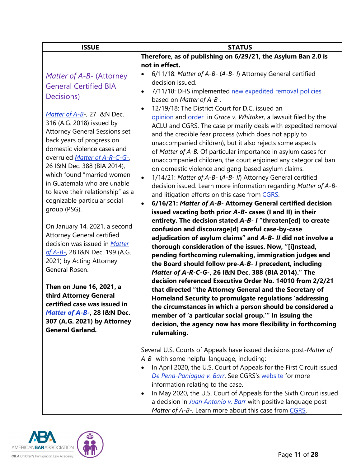<span id="page-10-0"></span>

| <b>ISSUE</b>                                                                                                                                                                                                                                                                                                                                                   | <b>STATUS</b>                                                                                                                                                                                                                                                                                                                                                                                                                                                                                                                                                                                                                                                                                                                                                                                                   |
|----------------------------------------------------------------------------------------------------------------------------------------------------------------------------------------------------------------------------------------------------------------------------------------------------------------------------------------------------------------|-----------------------------------------------------------------------------------------------------------------------------------------------------------------------------------------------------------------------------------------------------------------------------------------------------------------------------------------------------------------------------------------------------------------------------------------------------------------------------------------------------------------------------------------------------------------------------------------------------------------------------------------------------------------------------------------------------------------------------------------------------------------------------------------------------------------|
|                                                                                                                                                                                                                                                                                                                                                                | Therefore, as of publishing on 6/29/21, the Asylum Ban 2.0 is                                                                                                                                                                                                                                                                                                                                                                                                                                                                                                                                                                                                                                                                                                                                                   |
|                                                                                                                                                                                                                                                                                                                                                                | not in effect.                                                                                                                                                                                                                                                                                                                                                                                                                                                                                                                                                                                                                                                                                                                                                                                                  |
| Matter of A-B- (Attorney<br><b>General Certified BIA</b><br>Decisions)                                                                                                                                                                                                                                                                                         | 6/11/18: Matter of A-B- (A-B- I) Attorney General certified<br>$\bullet$<br>decision issued.<br>7/11/18: DHS implemented new expedited removal policies<br>٠                                                                                                                                                                                                                                                                                                                                                                                                                                                                                                                                                                                                                                                    |
| Matter of A-B-, 27 I&N Dec.<br>316 (A.G. 2018) issued by<br><b>Attorney General Sessions set</b><br>back years of progress on<br>domestic violence cases and<br>overruled Matter of A-R-C-G-,<br>26 I&N Dec. 388 (BIA 2014),<br>which found "married women<br>in Guatemala who are unable<br>to leave their relationship" as a<br>cognizable particular social | based on Matter of A-B-.<br>12/19/18: The District Court for D.C. issued an<br>opinion and order in Grace v. Whitaker, a lawsuit filed by the<br>ACLU and CGRS. The case primarily deals with expedited removal<br>and the credible fear process (which does not apply to<br>unaccompanied children), but it also rejects some aspects<br>of Matter of A-B. Of particular importance in asylum cases for<br>unaccompanied children, the court enjoined any categorical ban<br>on domestic violence and gang-based asylum claims.<br>1/14/21: Matter of A-B- (A-B- II) Attorney General certified<br>$\bullet$<br>decision issued. Learn more information regarding Matter of A-B-<br>and litigation efforts on this case from CGRS.<br>6/16/21: Matter of A-B- Attorney General certified decision<br>$\bullet$ |
| group (PSG).<br>On January 14, 2021, a second<br><b>Attorney General certified</b><br>decision was issued in Matter<br>of A-B-, 28 I&N Dec. 199 (A.G.<br>2021) by Acting Attorney<br>General Rosen.                                                                                                                                                            | issued vacating both prior A-B- cases (I and II) in their<br>entirety. The decision stated A-B- I "threaten[ed] to create<br>confusion and discourage[d] careful case-by-case<br>adjudication of asylum claims" and A-B- II did not involve a<br>thorough consideration of the issues. Now, "[i]nstead,<br>pending forthcoming rulemaking, immigration judges and<br>the Board should follow pre-A-B- I precedent, including<br>Matter of A-R-C-G-, 26 I&N Dec. 388 (BIA 2014)." The                                                                                                                                                                                                                                                                                                                            |
| Then on June 16, 2021, a<br>third Attorney General<br>certified case was issued in<br>Matter of A-B-, 28 I&N Dec.<br>307 (A.G. 2021) by Attorney<br><b>General Garland.</b>                                                                                                                                                                                    | decision referenced Executive Order No. 14010 from 2/2/21<br>that directed "the Attorney General and the Secretary of<br>Homeland Security to promulgate regulations 'addressing<br>the circumstances in which a person should be considered a<br>member of 'a particular social group." In issuing the<br>decision, the agency now has more flexibility in forthcoming<br>rulemaking.                                                                                                                                                                                                                                                                                                                                                                                                                          |
|                                                                                                                                                                                                                                                                                                                                                                | Several U.S. Courts of Appeals have issued decisions post-Matter of<br>A-B- with some helpful language, including:<br>In April 2020, the U.S. Court of Appeals for the First Circuit issued<br>De Pena-Paniaqua v. Barr. See CGRS's website for more<br>information relating to the case.<br>In May 2020, the U.S. Court of Appeals for the Sixth Circuit issued<br>٠<br>a decision in <i>Juan Antonio v. Barr</i> with positive language post<br>Matter of A-B-. Learn more about this case from CGRS.                                                                                                                                                                                                                                                                                                         |

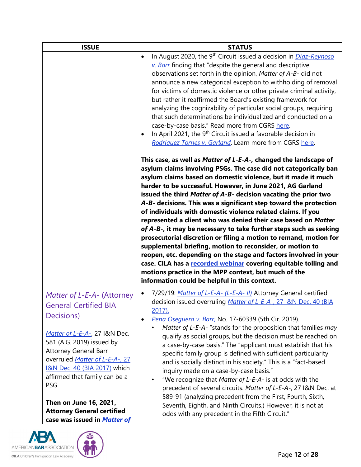| <b>ISSUE</b>                                                                                                                                                                                                                                                                                                                                                                                       | <b>STATUS</b>                                                                                                                                                                                                                                                                                                                                                                                                                                                                                                                                                                                                                                                                                                                                                                                                                                                                                                                                                                                                                                                                                                                                                                                                                                                                                                                                                                                                                                                                                                                                                                                                                                                                                                                                   |
|----------------------------------------------------------------------------------------------------------------------------------------------------------------------------------------------------------------------------------------------------------------------------------------------------------------------------------------------------------------------------------------------------|-------------------------------------------------------------------------------------------------------------------------------------------------------------------------------------------------------------------------------------------------------------------------------------------------------------------------------------------------------------------------------------------------------------------------------------------------------------------------------------------------------------------------------------------------------------------------------------------------------------------------------------------------------------------------------------------------------------------------------------------------------------------------------------------------------------------------------------------------------------------------------------------------------------------------------------------------------------------------------------------------------------------------------------------------------------------------------------------------------------------------------------------------------------------------------------------------------------------------------------------------------------------------------------------------------------------------------------------------------------------------------------------------------------------------------------------------------------------------------------------------------------------------------------------------------------------------------------------------------------------------------------------------------------------------------------------------------------------------------------------------|
|                                                                                                                                                                                                                                                                                                                                                                                                    | In August 2020, the 9 <sup>th</sup> Circuit issued a decision in <i>Diaz-Reynoso</i><br>$\bullet$<br>v. Barr finding that "despite the general and descriptive<br>observations set forth in the opinion, Matter of A-B- did not<br>announce a new categorical exception to withholding of removal<br>for victims of domestic violence or other private criminal activity,<br>but rather it reaffirmed the Board's existing framework for<br>analyzing the cognizability of particular social groups, requiring<br>that such determinations be individualized and conducted on a<br>case-by-case basis." Read more from CGRS here.<br>In April 2021, the 9 <sup>th</sup> Circuit issued a favorable decision in<br>$\bullet$<br>Rodriguez Tornes v. Garland. Learn more from CGRS here.<br>This case, as well as Matter of L-E-A-, changed the landscape of<br>asylum claims involving PSGs. The case did not categorically ban<br>asylum claims based on domestic violence, but it made it much<br>harder to be successful. However, in June 2021, AG Garland<br>issued the third Matter of A-B- decision vacating the prior two<br>A-B- decisions. This was a significant step toward the protection<br>of individuals with domestic violence related claims. If you<br>represented a client who was denied their case based on Matter<br>of A-B-, it may be necessary to take further steps such as seeking<br>prosecutorial discretion or filing a motion to remand, motion for<br>supplemental briefing, motion to reconsider, or motion to<br>reopen, etc. depending on the stage and factors involved in your<br>case. CILA has a recorded webinar covering equitable tolling and<br>motions practice in the MPP context, but much of the |
| Matter of L-E-A- (Attorney<br><b>General Certified BIA</b><br>Decisions)<br>Matter of L-E-A-, 27 I&N Dec.<br>581 (A.G. 2019) issued by<br><b>Attorney General Barr</b><br>overruled Matter of L-E-A-, 27<br><b>I&amp;N Dec. 40 (BIA 2017)</b> which<br>affirmed that family can be a<br>PSG.<br>Then on June 16, 2021,<br><b>Attorney General certified</b><br>case was issued in <b>Matter of</b> | information could be helpful in this context.<br>7/29/19: Matter of L-E-A- (L-E-A- II) Attorney General certified<br>$\bullet$<br>decision issued overruling Matter of L-E-A-, 27 I&N Dec. 40 (BIA<br>$2017$ ).<br>Pena Osequera v. Barr, No. 17-60339 (5th Cir. 2019).<br>$\bullet$<br>Matter of L-E-A- "stands for the proposition that families may<br>qualify as social groups, but the decision must be reached on<br>a case-by-case basis." The "applicant must establish that his<br>specific family group is defined with sufficient particularity<br>and is socially distinct in his society." This is a "fact-based<br>inquiry made on a case-by-case basis."<br>"We recognize that Matter of L-E-A- is at odds with the<br>precedent of several circuits. Matter of L-E-A-, 27 I&N Dec. at<br>589-91 (analyzing precedent from the First, Fourth, Sixth,<br>Seventh, Eighth, and Ninth Circuits.) However, it is not at<br>odds with any precedent in the Fifth Circuit."                                                                                                                                                                                                                                                                                                                                                                                                                                                                                                                                                                                                                                                                                                                                                            |

<span id="page-11-0"></span>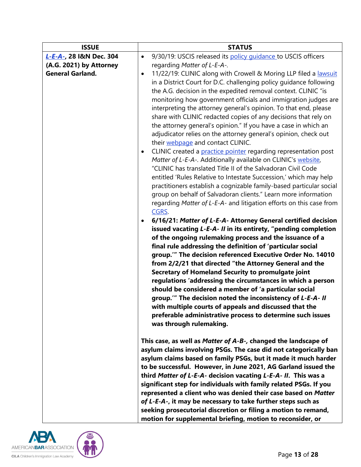| <b>ISSUE</b>            | <b>STATUS</b>                                                                                                                                                                                                                                                                                                                                                                                                                                                                                                                                                                                                                                                                                                                                                                                                                                                                                                                                                                                                                                                                                                                                                                                                                                                                                                                                                                                                                                                                                                                                                                                                                                                                                                                                                                                                                  |
|-------------------------|--------------------------------------------------------------------------------------------------------------------------------------------------------------------------------------------------------------------------------------------------------------------------------------------------------------------------------------------------------------------------------------------------------------------------------------------------------------------------------------------------------------------------------------------------------------------------------------------------------------------------------------------------------------------------------------------------------------------------------------------------------------------------------------------------------------------------------------------------------------------------------------------------------------------------------------------------------------------------------------------------------------------------------------------------------------------------------------------------------------------------------------------------------------------------------------------------------------------------------------------------------------------------------------------------------------------------------------------------------------------------------------------------------------------------------------------------------------------------------------------------------------------------------------------------------------------------------------------------------------------------------------------------------------------------------------------------------------------------------------------------------------------------------------------------------------------------------|
| L-E-A-, 28 I&N Dec. 304 | 9/30/19: USCIS released its policy quidance to USCIS officers<br>$\bullet$                                                                                                                                                                                                                                                                                                                                                                                                                                                                                                                                                                                                                                                                                                                                                                                                                                                                                                                                                                                                                                                                                                                                                                                                                                                                                                                                                                                                                                                                                                                                                                                                                                                                                                                                                     |
| (A.G. 2021) by Attorney | regarding Matter of L-E-A-.                                                                                                                                                                                                                                                                                                                                                                                                                                                                                                                                                                                                                                                                                                                                                                                                                                                                                                                                                                                                                                                                                                                                                                                                                                                                                                                                                                                                                                                                                                                                                                                                                                                                                                                                                                                                    |
| <b>General Garland.</b> | 11/22/19: CLINIC along with Crowell & Moring LLP filed a lawsuit<br>$\bullet$<br>in a District Court for D.C. challenging policy guidance following<br>the A.G. decision in the expedited removal context. CLINIC "is<br>monitoring how government officials and immigration judges are<br>interpreting the attorney general's opinion. To that end, please<br>share with CLINIC redacted copies of any decisions that rely on<br>the attorney general's opinion." If you have a case in which an<br>adjudicator relies on the attorney general's opinion, check out<br>their webpage and contact CLINIC.<br>CLINIC created a practice pointer regarding representation post<br>$\bullet$<br>Matter of L-E-A-. Additionally available on CLINIC's website,<br>"CLINIC has translated Title II of the Salvadoran Civil Code<br>entitled 'Rules Relative to Intestate Succession,' which may help<br>practitioners establish a cognizable family-based particular social<br>group on behalf of Salvadoran clients." Learn more information<br>regarding Matter of L-E-A- and litigation efforts on this case from<br>CGRS.<br>6/16/21: Matter of L-E-A- Attorney General certified decision<br>$\bullet$<br>issued vacating L-E-A- II in its entirety, "pending completion<br>of the ongoing rulemaking process and the issuance of a<br>final rule addressing the definition of 'particular social<br>group." The decision referenced Executive Order No. 14010<br>from 2/2/21 that directed "the Attorney General and the<br>Secretary of Homeland Security to promulgate joint<br>regulations 'addressing the circumstances in which a person<br>should be considered a member of 'a particular social<br>group." The decision noted the inconsistency of L-E-A- II<br>with multiple courts of appeals and discussed that the |
|                         | preferable administrative process to determine such issues<br>was through rulemaking.                                                                                                                                                                                                                                                                                                                                                                                                                                                                                                                                                                                                                                                                                                                                                                                                                                                                                                                                                                                                                                                                                                                                                                                                                                                                                                                                                                                                                                                                                                                                                                                                                                                                                                                                          |
|                         | This case, as well as Matter of A-B-, changed the landscape of<br>asylum claims involving PSGs. The case did not categorically ban<br>asylum claims based on family PSGs, but it made it much harder<br>to be successful. However, in June 2021, AG Garland issued the                                                                                                                                                                                                                                                                                                                                                                                                                                                                                                                                                                                                                                                                                                                                                                                                                                                                                                                                                                                                                                                                                                                                                                                                                                                                                                                                                                                                                                                                                                                                                         |
|                         | third Matter of L-E-A- decision vacating L-E-A- II. This was a<br>significant step for individuals with family related PSGs. If you<br>represented a client who was denied their case based on Matter<br>of L-E-A-, it may be necessary to take further steps such as<br>seeking prosecutorial discretion or filing a motion to remand,<br>motion for supplemental briefing, motion to reconsider, or                                                                                                                                                                                                                                                                                                                                                                                                                                                                                                                                                                                                                                                                                                                                                                                                                                                                                                                                                                                                                                                                                                                                                                                                                                                                                                                                                                                                                          |

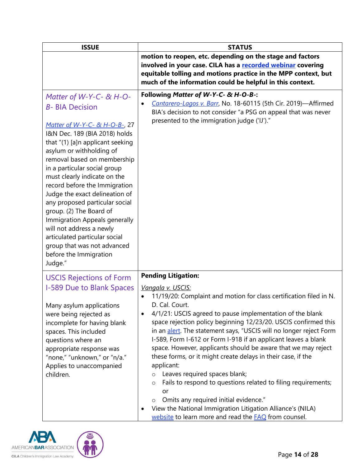<span id="page-13-0"></span>

| <b>ISSUE</b>                                                                                                                                                                                                                                                                                                                                                                                                                                                                                                                                                                            | <b>STATUS</b>                                                                                                                                                                                                                                                                                                                                                                                                                                                                                                                                                                                                                                                                                                                                                                                                                                                                 |
|-----------------------------------------------------------------------------------------------------------------------------------------------------------------------------------------------------------------------------------------------------------------------------------------------------------------------------------------------------------------------------------------------------------------------------------------------------------------------------------------------------------------------------------------------------------------------------------------|-------------------------------------------------------------------------------------------------------------------------------------------------------------------------------------------------------------------------------------------------------------------------------------------------------------------------------------------------------------------------------------------------------------------------------------------------------------------------------------------------------------------------------------------------------------------------------------------------------------------------------------------------------------------------------------------------------------------------------------------------------------------------------------------------------------------------------------------------------------------------------|
|                                                                                                                                                                                                                                                                                                                                                                                                                                                                                                                                                                                         | motion to reopen, etc. depending on the stage and factors<br>involved in your case. CILA has a recorded webinar covering<br>equitable tolling and motions practice in the MPP context, but<br>much of the information could be helpful in this context.                                                                                                                                                                                                                                                                                                                                                                                                                                                                                                                                                                                                                       |
| Matter of W-Y-C- $\&$ H-O-<br><b>B- BIA Decision</b><br>Matter of W-Y-C- & H-O-B-, 27<br>I&N Dec. 189 (BIA 2018) holds<br>that "(1) [a]n applicant seeking<br>asylum or withholding of<br>removal based on membership<br>in a particular social group<br>must clearly indicate on the<br>record before the Immigration<br>Judge the exact delineation of<br>any proposed particular social<br>group. (2) The Board of<br>Immigration Appeals generally<br>will not address a newly<br>articulated particular social<br>group that was not advanced<br>before the Immigration<br>Judge." | Following Matter of W-Y-C- & H-O-B-:<br>Cantarero-Lagos v. Barr, No. 18-60115 (5th Cir. 2019)-Affirmed<br>BIA's decision to not consider "a PSG on appeal that was never<br>presented to the immigration judge ('IJ')."                                                                                                                                                                                                                                                                                                                                                                                                                                                                                                                                                                                                                                                       |
| <b>USCIS Rejections of Form</b><br>I-589 Due to Blank Spaces<br>Many asylum applications<br>were being rejected as<br>incomplete for having blank<br>spaces. This included<br>questions where an<br>appropriate response was<br>"none," "unknown," or "n/a."<br>Applies to unaccompanied<br>children.                                                                                                                                                                                                                                                                                   | <b>Pending Litigation:</b><br>Vangala v. USCIS:<br>11/19/20: Complaint and motion for class certification filed in N.<br>D. Cal. Court.<br>4/1/21: USCIS agreed to pause implementation of the blank<br>space rejection policy beginning 12/23/20. USCIS confirmed this<br>in an alert. The statement says, "USCIS will no longer reject Form<br>I-589, Form I-612 or Form I-918 if an applicant leaves a blank<br>space. However, applicants should be aware that we may reject<br>these forms, or it might create delays in their case, if the<br>applicant:<br>Leaves required spaces blank;<br>$\circ$<br>Fails to respond to questions related to filing requirements;<br>$\circ$<br>or<br>Omits any required initial evidence."<br>$\circ$<br>View the National Immigration Litigation Alliance's (NILA)<br>website to learn more and read the <b>FAQ</b> from counsel. |

<span id="page-13-1"></span>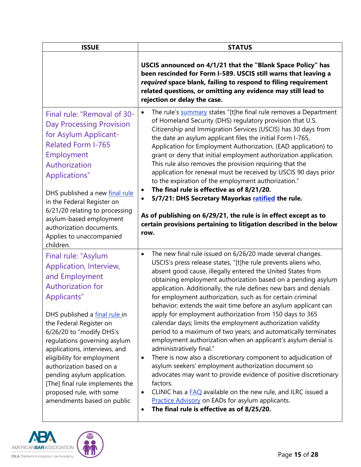<span id="page-14-0"></span>

| <b>ISSUE</b>                                                                                                                                                                                                                                                                                                                                                                                                                                               | <b>STATUS</b>                                                                                                                                                                                                                                                                                                                                                                                                                                                                                                                                                                                                                                                                                                                                                                                                                                                                                                                                                                                                                                                                                                                                                                 |
|------------------------------------------------------------------------------------------------------------------------------------------------------------------------------------------------------------------------------------------------------------------------------------------------------------------------------------------------------------------------------------------------------------------------------------------------------------|-------------------------------------------------------------------------------------------------------------------------------------------------------------------------------------------------------------------------------------------------------------------------------------------------------------------------------------------------------------------------------------------------------------------------------------------------------------------------------------------------------------------------------------------------------------------------------------------------------------------------------------------------------------------------------------------------------------------------------------------------------------------------------------------------------------------------------------------------------------------------------------------------------------------------------------------------------------------------------------------------------------------------------------------------------------------------------------------------------------------------------------------------------------------------------|
|                                                                                                                                                                                                                                                                                                                                                                                                                                                            | USCIS announced on 4/1/21 that the "Blank Space Policy" has<br>been rescinded for Form I-589. USCIS still warns that leaving a<br>required space blank, failing to respond to filing requirement<br>related questions, or omitting any evidence may still lead to<br>rejection or delay the case.                                                                                                                                                                                                                                                                                                                                                                                                                                                                                                                                                                                                                                                                                                                                                                                                                                                                             |
| Final rule: "Removal of 30-<br><b>Day Processing Provision</b><br>for Asylum Applicant-<br><b>Related Form I-765</b><br>Employment<br>Authorization<br>Applications"<br>DHS published a new final rule<br>in the Federal Register on<br>6/21/20 relating to processing<br>asylum-based employment<br>authorization documents.<br>Applies to unaccompanied<br>children.                                                                                     | The rule's summary states "[t]he final rule removes a Department<br>$\bullet$<br>of Homeland Security (DHS) regulatory provision that U.S.<br>Citizenship and Immigration Services (USCIS) has 30 days from<br>the date an asylum applicant files the initial Form I-765,<br>Application for Employment Authorization, (EAD application) to<br>grant or deny that initial employment authorization application.<br>This rule also removes the provision requiring that the<br>application for renewal must be received by USCIS 90 days prior<br>to the expiration of the employment authorization."<br>The final rule is effective as of 8/21/20.<br>5/7/21: DHS Secretary Mayorkas ratified the rule.<br>As of publishing on 6/29/21, the rule is in effect except as to<br>certain provisions pertaining to litigation described in the below<br>row.                                                                                                                                                                                                                                                                                                                      |
| Final rule: "Asylum<br>Application, Interview,<br>and Employment<br><b>Authorization for</b><br>Applicants"<br>DHS published a final rule in<br>the Federal Register on<br>6/26/20 to "modify DHS's<br>regulations governing asylum<br>applications, interviews, and<br>eligibility for employment<br>authorization based on a<br>pending asylum application.<br>[The] final rule implements the<br>proposed rule, with some<br>amendments based on public | The new final rule issued on 6/26/20 made several changes.<br>$\bullet$<br>USCIS's press release states, "[t]he rule prevents aliens who,<br>absent good cause, illegally entered the United States from<br>obtaining employment authorization based on a pending asylum<br>application. Additionally, the rule defines new bars and denials<br>for employment authorization, such as for certain criminal<br>behavior; extends the wait time before an asylum applicant can<br>apply for employment authorization from 150 days to 365<br>calendar days; limits the employment authorization validity<br>period to a maximum of two years; and automatically terminates<br>employment authorization when an applicant's asylum denial is<br>administratively final."<br>There is now also a discretionary component to adjudication of<br>$\bullet$<br>asylum seekers' employment authorization document so<br>advocates may want to provide evidence of positive discretionary<br>factors.<br>CLINIC has a $FAQ$ available on the new rule, and ILRC issued a<br><b>Practice Advisory on EADs for asylum applicants.</b><br>The final rule is effective as of 8/25/20.<br>٠ |

<span id="page-14-1"></span>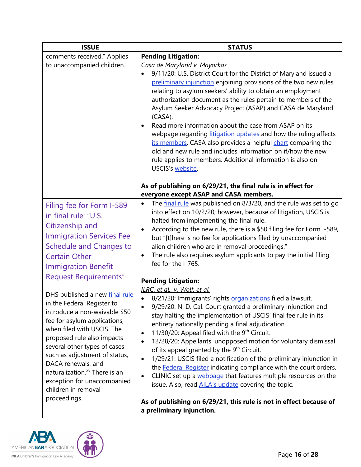<span id="page-15-0"></span>

| <b>ISSUE</b>                                                                                                                                                                                                                                                                                                                                                                                                                        | <b>STATUS</b>                                                                                                                                                                                                                                                                                                                                                                                                                                                                                                                                                                                                                                                                                                                                                                                                                                |
|-------------------------------------------------------------------------------------------------------------------------------------------------------------------------------------------------------------------------------------------------------------------------------------------------------------------------------------------------------------------------------------------------------------------------------------|----------------------------------------------------------------------------------------------------------------------------------------------------------------------------------------------------------------------------------------------------------------------------------------------------------------------------------------------------------------------------------------------------------------------------------------------------------------------------------------------------------------------------------------------------------------------------------------------------------------------------------------------------------------------------------------------------------------------------------------------------------------------------------------------------------------------------------------------|
| comments received." Applies                                                                                                                                                                                                                                                                                                                                                                                                         | <b>Pending Litigation:</b>                                                                                                                                                                                                                                                                                                                                                                                                                                                                                                                                                                                                                                                                                                                                                                                                                   |
| to unaccompanied children.                                                                                                                                                                                                                                                                                                                                                                                                          | Casa de Maryland v. Mayorkas<br>9/11/20: U.S. District Court for the District of Maryland issued a<br>preliminary injunction enjoining provisions of the two new rules<br>relating to asylum seekers' ability to obtain an employment<br>authorization document as the rules pertain to members of the<br>Asylum Seeker Advocacy Project (ASAP) and CASA de Maryland<br>(CASA).<br>Read more information about the case from ASAP on its<br>webpage regarding litigation updates and how the ruling affects<br>its members. CASA also provides a helpful chart comparing the<br>old and new rule and includes information on if/how the new<br>rule applies to members. Additional information is also on<br>USCIS's website.                                                                                                                |
|                                                                                                                                                                                                                                                                                                                                                                                                                                     | As of publishing on 6/29/21, the final rule is in effect for<br>everyone except ASAP and CASA members.                                                                                                                                                                                                                                                                                                                                                                                                                                                                                                                                                                                                                                                                                                                                       |
| Filing fee for Form I-589<br>in final rule: "U.S.<br>Citizenship and<br><b>Immigration Services Fee</b><br>Schedule and Changes to<br><b>Certain Other</b><br><b>Immigration Benefit</b>                                                                                                                                                                                                                                            | The final rule was published on 8/3/20, and the rule was set to go<br>$\bullet$<br>into effect on 10/2/20; however, because of litigation, USCIS is<br>halted from implementing the final rule.<br>According to the new rule, there is a \$50 filing fee for Form I-589,<br>but "[t]here is no fee for applications filed by unaccompanied<br>alien children who are in removal proceedings."<br>The rule also requires asylum applicants to pay the initial filing<br>fee for the I-765.                                                                                                                                                                                                                                                                                                                                                    |
| <b>Request Requirements"</b><br>DHS published a new final rule<br>in the Federal Register to<br>introduce a non-waivable \$50<br>fee for asylum applications,<br>when filed with USCIS. The<br>proposed rule also impacts<br>several other types of cases<br>such as adjustment of status,<br>DACA renewals, and<br>naturalization. <sup>xv</sup> There is an<br>exception for unaccompanied<br>children in removal<br>proceedings. | <b>Pending Litigation:</b><br>ILRC, et al., v. Wolf, et al.<br>8/21/20: Immigrants' rights organizations filed a lawsuit.<br>9/29/20: N. D. Cal. Court granted a preliminary injunction and<br>stay halting the implementation of USCIS' final fee rule in its<br>entirety nationally pending a final adjudication.<br>11/30/20: Appeal filed with the 9 <sup>th</sup> Circuit.<br>$\bullet$<br>12/28/20: Appellants' unopposed motion for voluntary dismissal<br>$\bullet$<br>of its appeal granted by the 9 <sup>th</sup> Circuit.<br>1/29/21: USCIS filed a notification of the preliminary injunction in<br>$\bullet$<br>the Federal Register indicating compliance with the court orders.<br>CLINIC set up a webpage that features multiple resources on the<br>$\bullet$<br>issue. Also, read <b>AILA's update</b> covering the topic. |
|                                                                                                                                                                                                                                                                                                                                                                                                                                     | As of publishing on 6/29/21, this rule is not in effect because of<br>a preliminary injunction.                                                                                                                                                                                                                                                                                                                                                                                                                                                                                                                                                                                                                                                                                                                                              |

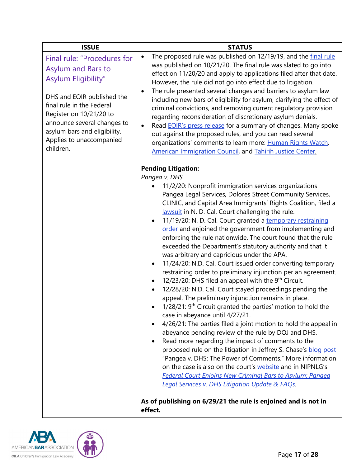<span id="page-16-0"></span>

| <b>ISSUE</b>                                                                                                                                                                                                                                                           | <b>STATUS</b>                                                                                                                                                                                                                                                                                                                                                                                                                                                                                                                                                                                                                                                                                                                                                                                                                                                                                                                                                                                                                                                                                                                                                                                                                                                                                                                                                                                                                                                                                                                                                                                                         |
|------------------------------------------------------------------------------------------------------------------------------------------------------------------------------------------------------------------------------------------------------------------------|-----------------------------------------------------------------------------------------------------------------------------------------------------------------------------------------------------------------------------------------------------------------------------------------------------------------------------------------------------------------------------------------------------------------------------------------------------------------------------------------------------------------------------------------------------------------------------------------------------------------------------------------------------------------------------------------------------------------------------------------------------------------------------------------------------------------------------------------------------------------------------------------------------------------------------------------------------------------------------------------------------------------------------------------------------------------------------------------------------------------------------------------------------------------------------------------------------------------------------------------------------------------------------------------------------------------------------------------------------------------------------------------------------------------------------------------------------------------------------------------------------------------------------------------------------------------------------------------------------------------------|
| Final rule: "Procedures for<br>Asylum and Bars to<br>Asylum Eligibility"<br>DHS and EOIR published the<br>final rule in the Federal<br>Register on 10/21/20 to<br>announce several changes to<br>asylum bars and eligibility.<br>Applies to unaccompanied<br>children. | The proposed rule was published on 12/19/19, and the final rule<br>$\bullet$<br>was published on 10/21/20. The final rule was slated to go into<br>effect on 11/20/20 and apply to applications filed after that date.<br>However, the rule did not go into effect due to litigation.<br>The rule presented several changes and barriers to asylum law<br>$\bullet$<br>including new bars of eligibility for asylum, clarifying the effect of<br>criminal convictions, and removing current regulatory provision<br>regarding reconsideration of discretionary asylum denials.<br>Read <b>EOIR's press release</b> for a summary of changes. Many spoke<br>$\bullet$<br>out against the proposed rules, and you can read several<br>organizations' comments to learn more: Human Rights Watch,<br>American Immigration Council, and Tahirih Justice Center.                                                                                                                                                                                                                                                                                                                                                                                                                                                                                                                                                                                                                                                                                                                                                           |
|                                                                                                                                                                                                                                                                        | <b>Pending Litigation:</b><br>Pangea v. DHS<br>11/2/20: Nonprofit immigration services organizations<br>Pangea Legal Services, Dolores Street Community Services,<br>CLINIC, and Capital Area Immigrants' Rights Coalition, filed a<br>lawsuit in N. D. Cal. Court challenging the rule.<br>11/19/20: N. D. Cal. Court granted a temporary restraining<br>order and enjoined the government from implementing and<br>enforcing the rule nationwide. The court found that the rule<br>exceeded the Department's statutory authority and that it<br>was arbitrary and capricious under the APA.<br>11/24/20: N.D. Cal. Court issued order converting temporary<br>restraining order to preliminary injunction per an agreement.<br>12/23/20: DHS filed an appeal with the 9 <sup>th</sup> Circuit.<br>12/28/20: N.D. Cal. Court stayed proceedings pending the<br>$\bullet$<br>appeal. The preliminary injunction remains in place.<br>1/28/21: 9 <sup>th</sup> Circuit granted the parties' motion to hold the<br>case in abeyance until 4/27/21.<br>4/26/21: The parties filed a joint motion to hold the appeal in<br>abeyance pending review of the rule by DOJ and DHS.<br>Read more regarding the impact of comments to the<br>proposed rule on the litigation in Jeffrey S. Chase's blog post<br>"Pangea v. DHS: The Power of Comments." More information<br>on the case is also on the court's website and in NIPNLG's<br><b>Federal Court Enjoins New Criminal Bars to Asylum: Pangea</b><br>Legal Services v. DHS Litigation Update & FAQs.<br>As of publishing on 6/29/21 the rule is enjoined and is not in |

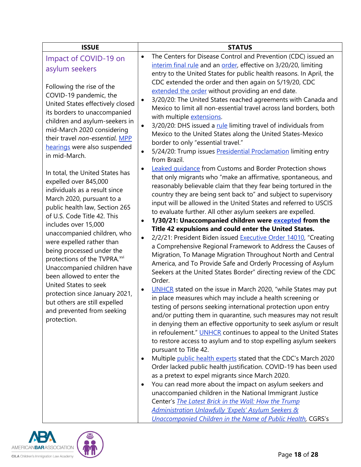<span id="page-17-0"></span>

| <b>ISSUE</b>                                                                                                                                                                                                                                                                                                                                                             | <b>STATUS</b>                                                                                                                                                                                                                                                                                                                                                                                                                                                                                                                                                                                                                                                                                                                                                                               |
|--------------------------------------------------------------------------------------------------------------------------------------------------------------------------------------------------------------------------------------------------------------------------------------------------------------------------------------------------------------------------|---------------------------------------------------------------------------------------------------------------------------------------------------------------------------------------------------------------------------------------------------------------------------------------------------------------------------------------------------------------------------------------------------------------------------------------------------------------------------------------------------------------------------------------------------------------------------------------------------------------------------------------------------------------------------------------------------------------------------------------------------------------------------------------------|
| Impact of COVID-19 on<br>asylum seekers                                                                                                                                                                                                                                                                                                                                  | The Centers for Disease Control and Prevention (CDC) issued an<br>$\bullet$<br>interim final rule and an order, effective on 3/20/20, limiting<br>entry to the United States for public health reasons. In April, the                                                                                                                                                                                                                                                                                                                                                                                                                                                                                                                                                                       |
| Following the rise of the<br>COVID-19 pandemic, the<br>United States effectively closed<br>its borders to unaccompanied<br>children and asylum-seekers in<br>mid-March 2020 considering<br>their travel non-essential. MPP<br>hearings were also suspended<br>in mid-March.<br>In total, the United States has<br>expelled over 845,000<br>individuals as a result since | CDC extended the order and then again on 5/19/20, CDC<br>extended the order without providing an end date.<br>3/20/20: The United States reached agreements with Canada and<br>$\bullet$<br>Mexico to limit all non-essential travel across land borders, both<br>with multiple extensions.<br>3/20/20: DHS issued a rule limiting travel of individuals from<br>$\bullet$<br>Mexico to the United States along the United States-Mexico<br>border to only "essential travel."<br>5/24/20: Trump issues Presidential Proclamation limiting entry<br>$\bullet$<br>from Brazil.<br>Leaked quidance from Customs and Border Protection shows<br>$\bullet$<br>that only migrants who "make an affirmative, spontaneous, and<br>reasonably believable claim that they fear being tortured in the |
| March 2020, pursuant to a<br>public health law, Section 265<br>of U.S. Code Title 42. This<br>includes over 15,000<br>unaccompanied children, who<br>were expelled rather than<br>being processed under the<br>protections of the TVPRA. <sup>xvi</sup><br>Unaccompanied children have<br>been allowed to enter the                                                      | country they are being sent back to" and subject to supervisory<br>input will be allowed in the United States and referred to USCIS<br>to evaluate further. All other asylum seekers are expelled.<br>1/30/21: Unaccompanied children were excepted from the<br>٠<br>Title 42 expulsions and could enter the United States.<br>2/2/21: President Biden issued Executive Order 14010, "Creating<br>$\bullet$<br>a Comprehensive Regional Framework to Address the Causes of<br>Migration, To Manage Migration Throughout North and Central<br>America, and To Provide Safe and Orderly Processing of Asylum<br>Seekers at the United States Border" directing review of the CDC<br>Order.                                                                                                    |
| United States to seek<br>protection since January 2021,<br>but others are still expelled<br>and prevented from seeking<br>protection.                                                                                                                                                                                                                                    | UNHCR stated on the issue in March 2020, "while States may put<br>$\bullet$<br>in place measures which may include a health screening or<br>testing of persons seeking international protection upon entry<br>and/or putting them in quarantine, such measures may not result<br>in denying them an effective opportunity to seek asylum or result<br>in refoulement." UNHCR continues to appeal to the United States<br>to restore access to asylum and to stop expelling asylum seekers<br>pursuant to Title 42.                                                                                                                                                                                                                                                                          |
|                                                                                                                                                                                                                                                                                                                                                                          | Multiple public health experts stated that the CDC's March 2020<br>Order lacked public health justification. COVID-19 has been used<br>as a pretext to expel migrants since March 2020.<br>You can read more about the impact on asylum seekers and<br>unaccompanied children in the National Immigrant Justice<br>Center's <b>The Latest Brick in the Wall: How the Trump</b><br>Administration Unlawfully 'Expels' Asylum Seekers &<br><b>Unaccompanied Children in the Name of Public Health, CGRS's</b>                                                                                                                                                                                                                                                                                 |



Page **18** of **28**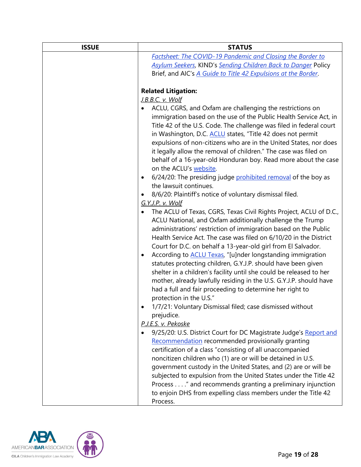| <b>ISSUE</b> | <b>STATUS</b>                                                                                                                      |
|--------------|------------------------------------------------------------------------------------------------------------------------------------|
|              | <b>Factsheet: The COVID-19 Pandemic and Closing the Border to</b>                                                                  |
|              | <b>Asylum Seekers, KIND's Sending Children Back to Danger Policy</b>                                                               |
|              | Brief, and AIC's A Guide to Title 42 Expulsions at the Border.                                                                     |
|              |                                                                                                                                    |
|              | <b>Related Litigation:</b>                                                                                                         |
|              | J.B.B.C. v. Wolf                                                                                                                   |
|              | ACLU, CGRS, and Oxfam are challenging the restrictions on                                                                          |
|              | immigration based on the use of the Public Health Service Act, in                                                                  |
|              | Title 42 of the U.S. Code. The challenge was filed in federal court                                                                |
|              | in Washington, D.C. <b>ACLU</b> states, "Title 42 does not permit                                                                  |
|              | expulsions of non-citizens who are in the United States, nor does                                                                  |
|              | it legally allow the removal of children." The case was filed on<br>behalf of a 16-year-old Honduran boy. Read more about the case |
|              | on the ACLU's website.                                                                                                             |
|              | 6/24/20: The presiding judge prohibited removal of the boy as<br>$\bullet$                                                         |
|              | the lawsuit continues.                                                                                                             |
|              | 8/6/20: Plaintiff's notice of voluntary dismissal filed.<br>٠                                                                      |
|              | G.Y.J.P. v. Wolf                                                                                                                   |
|              | The ACLU of Texas, CGRS, Texas Civil Rights Project, ACLU of D.C.,<br>٠                                                            |
|              | ACLU National, and Oxfam additionally challenge the Trump                                                                          |
|              | administrations' restriction of immigration based on the Public                                                                    |
|              | Health Service Act. The case was filed on 6/10/20 in the District                                                                  |
|              | Court for D.C. on behalf a 13-year-old girl from El Salvador.                                                                      |
|              | According to <b>ACLU Texas</b> , "[u]nder longstanding immigration<br>$\bullet$                                                    |
|              | statutes protecting children, G.Y.J.P. should have been given                                                                      |
|              | shelter in a children's facility until she could be released to her                                                                |
|              | mother, already lawfully residing in the U.S. G.Y.J.P. should have                                                                 |
|              | had a full and fair proceeding to determine her right to                                                                           |
|              | protection in the U.S."                                                                                                            |
|              | 1/7/21: Voluntary Dismissal filed; case dismissed without                                                                          |
|              | prejudice.<br>P.J.E.S. v. Pekoske                                                                                                  |
|              | 9/25/20: U.S. District Court for DC Magistrate Judge's Report and                                                                  |
|              | Recommendation recommended provisionally granting                                                                                  |
|              | certification of a class "consisting of all unaccompanied                                                                          |
|              | noncitizen children who (1) are or will be detained in U.S.                                                                        |
|              | government custody in the United States, and (2) are or will be                                                                    |
|              | subjected to expulsion from the United States under the Title 42                                                                   |
|              | Process " and recommends granting a preliminary injunction                                                                         |
|              | to enjoin DHS from expelling class members under the Title 42                                                                      |
|              | Process.                                                                                                                           |

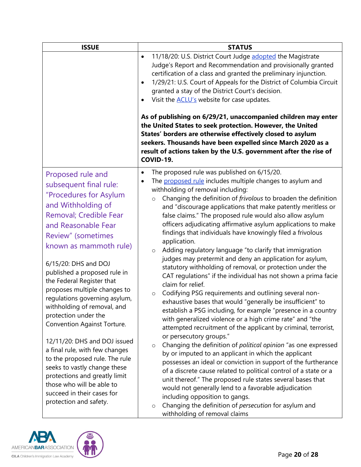<span id="page-19-0"></span>

| <b>ISSUE</b>                                                                                                                                                                                                                                                                                                                                                                                                                                                                                                                                                                                                                                                             | <b>STATUS</b>                                                                                                                                                                                                                                                                                                                                                                                                                                                                                                                                                                                                                                                                                                                                                                                                                                                                                                                                                                                                                                                                                                                                                                                                                                                                                                                                                                                                                                                                                                                                                                                          |
|--------------------------------------------------------------------------------------------------------------------------------------------------------------------------------------------------------------------------------------------------------------------------------------------------------------------------------------------------------------------------------------------------------------------------------------------------------------------------------------------------------------------------------------------------------------------------------------------------------------------------------------------------------------------------|--------------------------------------------------------------------------------------------------------------------------------------------------------------------------------------------------------------------------------------------------------------------------------------------------------------------------------------------------------------------------------------------------------------------------------------------------------------------------------------------------------------------------------------------------------------------------------------------------------------------------------------------------------------------------------------------------------------------------------------------------------------------------------------------------------------------------------------------------------------------------------------------------------------------------------------------------------------------------------------------------------------------------------------------------------------------------------------------------------------------------------------------------------------------------------------------------------------------------------------------------------------------------------------------------------------------------------------------------------------------------------------------------------------------------------------------------------------------------------------------------------------------------------------------------------------------------------------------------------|
|                                                                                                                                                                                                                                                                                                                                                                                                                                                                                                                                                                                                                                                                          | 11/18/20: U.S. District Court Judge adopted the Magistrate<br>$\bullet$<br>Judge's Report and Recommendation and provisionally granted<br>certification of a class and granted the preliminary injunction.<br>1/29/21: U.S. Court of Appeals for the District of Columbia Circuit<br>$\bullet$<br>granted a stay of the District Court's decision.<br>Visit the <b>ACLU's</b> website for case updates.<br>٠<br>As of publishing on 6/29/21, unaccompanied children may enter<br>the United States to seek protection. However, the United<br>States' borders are otherwise effectively closed to asylum<br>seekers. Thousands have been expelled since March 2020 as a<br>result of actions taken by the U.S. government after the rise of<br>COVID-19.                                                                                                                                                                                                                                                                                                                                                                                                                                                                                                                                                                                                                                                                                                                                                                                                                                               |
| Proposed rule and<br>subsequent final rule:<br>"Procedures for Asylum<br>and Withholding of<br>Removal; Credible Fear<br>and Reasonable Fear<br>Review" (sometimes<br>known as mammoth rule)<br>6/15/20: DHS and DOJ<br>published a proposed rule in<br>the Federal Register that<br>proposes multiple changes to<br>regulations governing asylum,<br>withholding of removal, and<br>protection under the<br>Convention Against Torture.<br>12/11/20: DHS and DOJ issued<br>a final rule, with few changes<br>to the proposed rule. The rule<br>seeks to vastly change these<br>protections and greatly limit<br>those who will be able to<br>succeed in their cases for | The proposed rule was published on 6/15/20.<br>٠<br>The proposed rule includes multiple changes to asylum and<br>withholding of removal including:<br>Changing the definition of <i>frivolous</i> to broaden the definition<br>$\circ$<br>and "discourage applications that make patently meritless or<br>false claims." The proposed rule would also allow asylum<br>officers adjudicating affirmative asylum applications to make<br>findings that individuals have knowingly filed a frivolous<br>application.<br>Adding regulatory language "to clarify that immigration<br>$\circ$<br>judges may pretermit and deny an application for asylum,<br>statutory withholding of removal, or protection under the<br>CAT regulations" if the individual has not shown a prima facie<br>claim for relief.<br>Codifying PSG requirements and outlining several non-<br>$\circ$<br>exhaustive bases that would "generally be insufficient" to<br>establish a PSG including, for example "presence in a country<br>with generalized violence or a high crime rate" and "the<br>attempted recruitment of the applicant by criminal, terrorist,<br>or persecutory groups."<br>Changing the definition of political opinion "as one expressed<br>$\circ$<br>by or imputed to an applicant in which the applicant<br>possesses an ideal or conviction in support of the furtherance<br>of a discrete cause related to political control of a state or a<br>unit thereof." The proposed rule states several bases that<br>would not generally lend to a favorable adjudication<br>including opposition to gangs. |

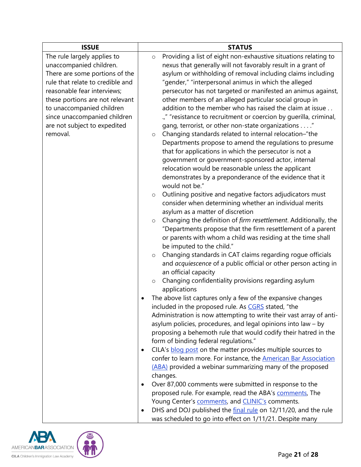| <b>ISSUE</b>                     | <b>STATUS</b>                                                              |
|----------------------------------|----------------------------------------------------------------------------|
| The rule largely applies to      | Providing a list of eight non-exhaustive situations relating to<br>$\circ$ |
| unaccompanied children.          | nexus that generally will not favorably result in a grant of               |
| There are some portions of the   | asylum or withholding of removal including claims including                |
| rule that relate to credible and | "gender," "interpersonal animus in which the alleged                       |
| reasonable fear interviews;      | persecutor has not targeted or manifested an animus against,               |
| these portions are not relevant  | other members of an alleged particular social group in                     |
| to unaccompanied children        | addition to the member who has raised the claim at issue                   |
| since unaccompanied children     | .," "resistance to recruitment or coercion by guerilla, criminal,          |
| are not subject to expedited     | gang, terrorist, or other non-state organizations "                        |
| removal.                         | Changing standards related to internal relocation-"the<br>$\circ$          |
|                                  | Departments propose to amend the regulations to presume                    |
|                                  | that for applications in which the persecutor is not a                     |
|                                  | government or government-sponsored actor, internal                         |
|                                  | relocation would be reasonable unless the applicant                        |
|                                  | demonstrates by a preponderance of the evidence that it                    |
|                                  | would not be."                                                             |
|                                  | Outlining positive and negative factors adjudicators must<br>$\circ$       |
|                                  | consider when determining whether an individual merits                     |
|                                  | asylum as a matter of discretion                                           |
|                                  | Changing the definition of firm resettlement. Additionally, the<br>$\circ$ |
|                                  | "Departments propose that the firm resettlement of a parent                |
|                                  | or parents with whom a child was residing at the time shall                |
|                                  | be imputed to the child."                                                  |
|                                  | Changing standards in CAT claims regarding rogue officials<br>$\circ$      |
|                                  | and acquiescence of a public official or other person acting in            |
|                                  | an official capacity                                                       |
|                                  | Changing confidentiality provisions regarding asylum<br>$\circ$            |
|                                  | applications                                                               |
|                                  | The above list captures only a few of the expansive changes                |
|                                  | included in the proposed rule. As CGRS stated, "the                        |
|                                  | Administration is now attempting to write their vast array of anti-        |
|                                  | asylum policies, procedures, and legal opinions into law - by              |
|                                  | proposing a behemoth rule that would codify their hatred in the            |
|                                  | form of binding federal regulations."                                      |
|                                  | CILA's blog post on the matter provides multiple sources to                |
|                                  | confer to learn more. For instance, the American Bar Association           |
|                                  | (ABA) provided a webinar summarizing many of the proposed                  |
|                                  | changes.                                                                   |
|                                  | Over 87,000 comments were submitted in response to the<br>$\bullet$        |
|                                  | proposed rule. For example, read the ABA's comments, The                   |
|                                  | Young Center's comments, and CLINIC's comments.                            |
|                                  | DHS and DOJ published the final rule on 12/11/20, and the rule             |
|                                  | was scheduled to go into effect on 1/11/21. Despite many                   |

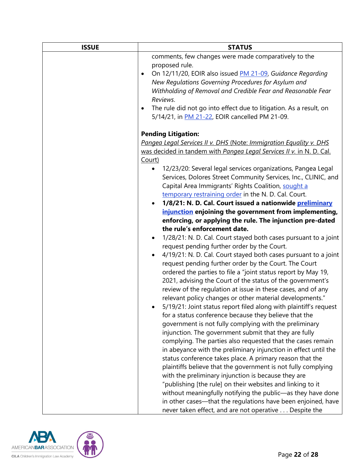| <b>ISSUE</b> | <b>STATUS</b>                                                                                                                                                                                                                                                                                                   |
|--------------|-----------------------------------------------------------------------------------------------------------------------------------------------------------------------------------------------------------------------------------------------------------------------------------------------------------------|
|              | comments, few changes were made comparatively to the                                                                                                                                                                                                                                                            |
|              | proposed rule.<br>On 12/11/20, EOIR also issued PM 21-09, Guidance Regarding<br>$\bullet$<br>New Regulations Governing Procedures for Asylum and<br>Withholding of Removal and Credible Fear and Reasonable Fear<br>Reviews.<br>The rule did not go into effect due to litigation. As a result, on<br>$\bullet$ |
|              | 5/14/21, in PM 21-22, EOIR cancelled PM 21-09.                                                                                                                                                                                                                                                                  |
|              | <b>Pending Litigation:</b>                                                                                                                                                                                                                                                                                      |
|              | Pangea Legal Services II v. DHS (Note: Immigration Equality v. DHS                                                                                                                                                                                                                                              |
|              | was decided in tandem with Pangea Legal Services II v. in N. D. Cal.<br>Court)                                                                                                                                                                                                                                  |
|              | 12/23/20: Several legal services organizations, Pangea Legal<br>$\bullet$<br>Services, Dolores Street Community Services, Inc., CLINIC, and<br>Capital Area Immigrants' Rights Coalition, sought a<br>temporary restraining order in the N. D. Cal. Court.                                                      |
|              | 1/8/21: N. D. Cal. Court issued a nationwide preliminary                                                                                                                                                                                                                                                        |
|              | injunction enjoining the government from implementing,                                                                                                                                                                                                                                                          |
|              | enforcing, or applying the rule. The injunction pre-dated                                                                                                                                                                                                                                                       |
|              | the rule's enforcement date.                                                                                                                                                                                                                                                                                    |
|              | 1/28/21: N. D. Cal. Court stayed both cases pursuant to a joint<br>request pending further order by the Court.<br>4/19/21: N. D. Cal. Court stayed both cases pursuant to a joint                                                                                                                               |
|              | request pending further order by the Court. The Court<br>ordered the parties to file a "joint status report by May 19,<br>2021, advising the Court of the status of the government's<br>review of the regulation at issue in these cases, and of any                                                            |
|              | relevant policy changes or other material developments."<br>5/19/21: Joint status report filed along with plaintiff's request<br>for a status conference because they believe that the<br>government is not fully complying with the preliminary                                                                |
|              | injunction. The government submit that they are fully<br>complying. The parties also requested that the cases remain                                                                                                                                                                                            |
|              | in abeyance with the preliminary injunction in effect until the<br>status conference takes place. A primary reason that the<br>plaintiffs believe that the government is not fully complying                                                                                                                    |
|              | with the preliminary injunction is because they are<br>"publishing [the rule] on their websites and linking to it                                                                                                                                                                                               |
|              | without meaningfully notifying the public-as they have done<br>in other cases—that the regulations have been enjoined, have                                                                                                                                                                                     |
|              | never taken effect, and are not operative Despite the                                                                                                                                                                                                                                                           |

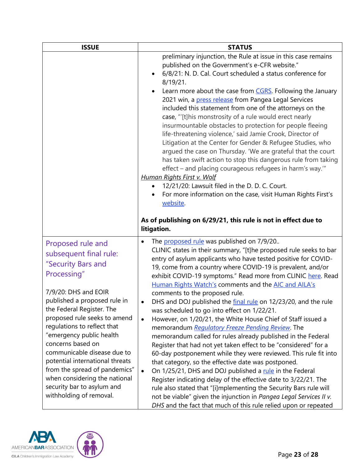| <b>ISSUE</b>                                                                                                                                                                                                                                                                                                                                                                                                                                                                       | <b>STATUS</b>                                                                                                                                                                                                                                                                                                                                                                                                                                                                                                                                                                                                                                                                                                                                                                                                                                                                                                                                                                                                                                                                                                                                                                                                                                                                                        |
|------------------------------------------------------------------------------------------------------------------------------------------------------------------------------------------------------------------------------------------------------------------------------------------------------------------------------------------------------------------------------------------------------------------------------------------------------------------------------------|------------------------------------------------------------------------------------------------------------------------------------------------------------------------------------------------------------------------------------------------------------------------------------------------------------------------------------------------------------------------------------------------------------------------------------------------------------------------------------------------------------------------------------------------------------------------------------------------------------------------------------------------------------------------------------------------------------------------------------------------------------------------------------------------------------------------------------------------------------------------------------------------------------------------------------------------------------------------------------------------------------------------------------------------------------------------------------------------------------------------------------------------------------------------------------------------------------------------------------------------------------------------------------------------------|
|                                                                                                                                                                                                                                                                                                                                                                                                                                                                                    | preliminary injunction, the Rule at issue in this case remains<br>published on the Government's e-CFR website."<br>6/8/21: N. D. Cal. Court scheduled a status conference for<br>$8/19/21$ .<br>Learn more about the case from CGRS. Following the January<br>2021 win, a press release from Pangea Legal Services<br>included this statement from one of the attorneys on the<br>case, "[t]his monstrosity of a rule would erect nearly<br>insurmountable obstacles to protection for people fleeing<br>life-threatening violence,' said Jamie Crook, Director of<br>Litigation at the Center for Gender & Refugee Studies, who<br>argued the case on Thursday. 'We are grateful that the court<br>has taken swift action to stop this dangerous rule from taking<br>effect - and placing courageous refugees in harm's way."<br>Human Rights First v. Wolf<br>12/21/20: Lawsuit filed in the D. D. C. Court.<br>For more information on the case, visit Human Rights First's<br>website.<br>As of publishing on 6/29/21, this rule is not in effect due to<br>litigation.                                                                                                                                                                                                                          |
| Proposed rule and<br>subsequent final rule:<br>"Security Bars and<br>Processing"<br>7/9/20: DHS and EOIR<br>published a proposed rule in<br>the Federal Register. The<br>proposed rule seeks to amend<br>regulations to reflect that<br>"emergency public health<br>concerns based on<br>communicable disease due to<br>potential international threats<br>from the spread of pandemics"<br>when considering the national<br>security bar to asylum and<br>withholding of removal. | The proposed rule was published on 7/9/20<br>$\bullet$<br>CLINIC states in their summary, "[t]he proposed rule seeks to bar<br>entry of asylum applicants who have tested positive for COVID-<br>19, come from a country where COVID-19 is prevalent, and/or<br>exhibit COVID-19 symptoms." Read more from CLINIC here. Read<br>Human Rights Watch's comments and the AIC and AILA's<br>comments to the proposed rule.<br>DHS and DOJ published the final rule on 12/23/20, and the rule<br>٠<br>was scheduled to go into effect on 1/22/21.<br>However, on 1/20/21, the White House Chief of Staff issued a<br>$\bullet$<br>memorandum Regulatory Freeze Pending Review. The<br>memorandum called for rules already published in the Federal<br>Register that had not yet taken effect to be "considered" for a<br>60-day postponement while they were reviewed. This rule fit into<br>that category, so the effective date was postponed.<br>On 1/25/21, DHS and DOJ published a rule in the Federal<br>$\bullet$<br>Register indicating delay of the effective date to 3/22/21. The<br>rule also stated that "[i]mplementing the Security Bars rule will<br>not be viable" given the injunction in Pangea Legal Services II v.<br>DHS and the fact that much of this rule relied upon or repeated |

<span id="page-22-0"></span>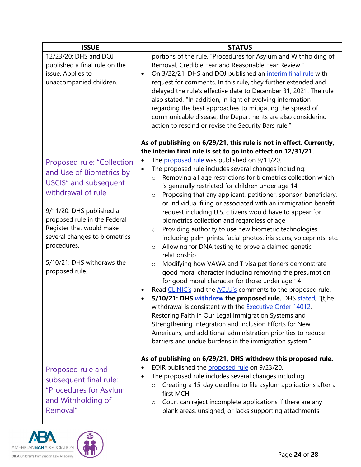<span id="page-23-0"></span>

| <b>ISSUE</b>                                                                                                                                                                                                                                                                                         | <b>STATUS</b>                                                                                                                                                                                                                                                                                                                                                                                                                                                                                                                                                                                                                                                                                                                                                                                                                                                                                                                                                                                                                                                                                                                                                                                                                                                                                                                                                                          |
|------------------------------------------------------------------------------------------------------------------------------------------------------------------------------------------------------------------------------------------------------------------------------------------------------|----------------------------------------------------------------------------------------------------------------------------------------------------------------------------------------------------------------------------------------------------------------------------------------------------------------------------------------------------------------------------------------------------------------------------------------------------------------------------------------------------------------------------------------------------------------------------------------------------------------------------------------------------------------------------------------------------------------------------------------------------------------------------------------------------------------------------------------------------------------------------------------------------------------------------------------------------------------------------------------------------------------------------------------------------------------------------------------------------------------------------------------------------------------------------------------------------------------------------------------------------------------------------------------------------------------------------------------------------------------------------------------|
| 12/23/20: DHS and DOJ<br>published a final rule on the<br>issue. Applies to<br>unaccompanied children.                                                                                                                                                                                               | portions of the rule, "Procedures for Asylum and Withholding of<br>Removal; Credible Fear and Reasonable Fear Review."<br>On 3/22/21, DHS and DOJ published an interim final rule with<br>request for comments. In this rule, they further extended and<br>delayed the rule's effective date to December 31, 2021. The rule<br>also stated, "In addition, in light of evolving information<br>regarding the best approaches to mitigating the spread of<br>communicable disease, the Departments are also considering<br>action to rescind or revise the Security Bars rule."<br>As of publishing on 6/29/21, this rule is not in effect. Currently,                                                                                                                                                                                                                                                                                                                                                                                                                                                                                                                                                                                                                                                                                                                                   |
|                                                                                                                                                                                                                                                                                                      | the interim final rule is set to go into effect on 12/31/21.                                                                                                                                                                                                                                                                                                                                                                                                                                                                                                                                                                                                                                                                                                                                                                                                                                                                                                                                                                                                                                                                                                                                                                                                                                                                                                                           |
| Proposed rule: "Collection<br>and Use of Biometrics by<br><b>USCIS"</b> and subsequent<br>withdrawal of rule<br>9/11/20: DHS published a<br>proposed rule in the Federal<br>Register that would make<br>several changes to biometrics<br>procedures.<br>5/10/21: DHS withdraws the<br>proposed rule. | The proposed rule was published on 9/11/20.<br>$\bullet$<br>The proposed rule includes several changes including:<br>$\bullet$<br>Removing all age restrictions for biometrics collection which<br>$\circ$<br>is generally restricted for children under age 14<br>Proposing that any applicant, petitioner, sponsor, beneficiary,<br>$\circ$<br>or individual filing or associated with an immigration benefit<br>request including U.S. citizens would have to appear for<br>biometrics collection and regardless of age<br>Providing authority to use new biometric technologies<br>$\circ$<br>including palm prints, facial photos, iris scans, voiceprints, etc.<br>Allowing for DNA testing to prove a claimed genetic<br>$\circ$<br>relationship<br>Modifying how VAWA and T visa petitioners demonstrate<br>$\circ$<br>good moral character including removing the presumption<br>for good moral character for those under age 14<br>Read CLINIC's and the ACLU's comments to the proposed rule.<br>٠<br>5/10/21: DHS withdrew the proposed rule. DHS stated, "[t]he<br>withdrawal is consistent with the Executive Order 14012,<br>Restoring Faith in Our Legal Immigration Systems and<br>Strengthening Integration and Inclusion Efforts for New<br>Americans, and additional administration priorities to reduce<br>barriers and undue burdens in the immigration system." |
|                                                                                                                                                                                                                                                                                                      | As of publishing on 6/29/21, DHS withdrew this proposed rule.                                                                                                                                                                                                                                                                                                                                                                                                                                                                                                                                                                                                                                                                                                                                                                                                                                                                                                                                                                                                                                                                                                                                                                                                                                                                                                                          |
| Proposed rule and<br>subsequent final rule:<br>"Procedures for Asylum<br>and Withholding of<br>Removal"                                                                                                                                                                                              | EOIR published the proposed rule on 9/23/20.<br>$\bullet$<br>The proposed rule includes several changes including:<br>Creating a 15-day deadline to file asylum applications after a<br>$\circ$<br>first MCH<br>Court can reject incomplete applications if there are any<br>$\circ$<br>blank areas, unsigned, or lacks supporting attachments                                                                                                                                                                                                                                                                                                                                                                                                                                                                                                                                                                                                                                                                                                                                                                                                                                                                                                                                                                                                                                         |

<span id="page-23-1"></span>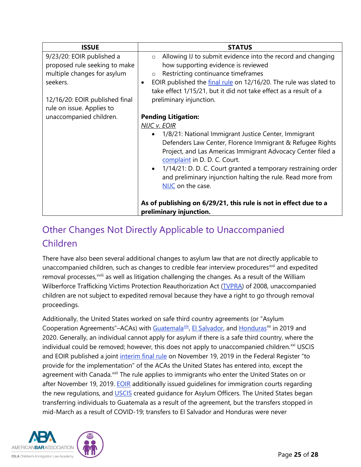| <b>ISSUE</b>                                                                                                                                                         | <b>STATUS</b>                                                                                                                                                                                                                                                                                                                                                                                                                             |
|----------------------------------------------------------------------------------------------------------------------------------------------------------------------|-------------------------------------------------------------------------------------------------------------------------------------------------------------------------------------------------------------------------------------------------------------------------------------------------------------------------------------------------------------------------------------------------------------------------------------------|
| 9/23/20: EOIR published a<br>proposed rule seeking to make<br>multiple changes for asylum<br>seekers.<br>12/16/20: EOIR published final<br>rule on issue. Applies to | Allowing IJ to submit evidence into the record and changing<br>$\circ$<br>how supporting evidence is reviewed<br>Restricting continuance timeframes<br>$\circ$<br>EOIR published the final rule on 12/16/20. The rule was slated to<br>$\bullet$<br>take effect 1/15/21, but it did not take effect as a result of a<br>preliminary injunction.                                                                                           |
| unaccompanied children.                                                                                                                                              | <b>Pending Litigation:</b><br><b>NIJC v. EOIR</b><br>• 1/8/21: National Immigrant Justice Center, Immigrant<br>Defenders Law Center, Florence Immigrant & Refugee Rights<br>Project, and Las Americas Immigrant Advocacy Center filed a<br>complaint in D. D. C. Court.<br>1/14/21: D. D. C. Court granted a temporary restraining order<br>$\bullet$<br>and preliminary injunction halting the rule. Read more from<br>NIJC on the case. |
|                                                                                                                                                                      | As of publishing on 6/29/21, this rule is not in effect due to a<br>preliminary injunction.                                                                                                                                                                                                                                                                                                                                               |

## <span id="page-24-0"></span>Other Changes Not Directly Applicable to Unaccompanied Children

There have also been several additional changes to asylum law that are not directly applicable to unaccompanied child[r](#page-27-0)en, such as changes to credible fear interview procedures<sup>[xvii](#page-26-11)</sup> and expedited removal processes,<sup>xviii</sup> as well as litigation challenging the changes. As a result of the William Wilberforce Trafficking Victims Protection Reauthorization Act [\(TVPRA\)](https://www.congress.gov/110/plaws/publ457/PLAW-110publ457.pdf) of 2008, unaccompanied children are not subject to expedited removal because they have a right to go through removal proceedings.

Additionally, the United States worked on safe third country agreements (or "Asylum Cooperation Agreements"–ACAs) with [Guatemala](https://www.federalregister.gov/documents/2019/11/20/2019-25288/agreement-between-the-government-of-the-united-states-of-america-and-the-government-of-the-republic) $\frac{xx}{x}$  $\frac{xx}{x}$  $\frac{xx}{x}$ , [El Salvador,](https://apnews.com/de6a00632755415fad2a952c7cd4bd72) and [Honduras](https://www.federalregister.gov/documents/2020/05/01/2020-09322/agreement-between-the-government-of-the-united-states-of-america-and-the-government-of-the-republic)<sup>xx</sup> in 2019 and 2020. Generally, an individual cannot apply for asylum if there is a safe third country, where the individual could be removed; however, this does not apply to unaccompanied children.<sup>[xxi](#page-27-3)</sup> USCIS and EOIR published a joint [interim final rule](https://www.federalregister.gov/documents/2019/11/19/2019-25137/implementing-bilateral-and-multilateral-asylum-cooperative-agreements-under-the-immigration-and) on November 19, 2019 in the Federal Register "to provide for the implementation" of the ACAs the United States has entered into, except the agreement with Canada.<sup>[xxii](#page-27-4)</sup> The rule applies to immigrants who enter the United States on or after November 19, 2019. **EOIR** additionally issued guidelines for immigration courts regarding the new regulations, and **USCIS** created guidance for Asylum Officers. The United States began transferring individuals to Guatemala as a result of the agreement, but the transfers stopped in mid-March as a result of COVID-19; transfers to El Salvador and Honduras were never

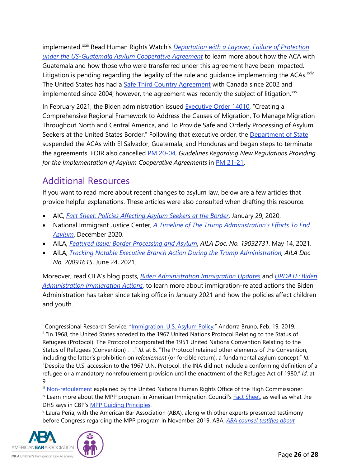implemented.<sup>xxiii</sup> [R](#page-27-5)ead Human Rights Watch's <u>Deportation with a Layover, Failure of Protection</u> *[under the US-Guatemala Asylum Cooperative Agreement](https://www.hrw.org/report/2020/05/19/deportation-layover/failure-protection-under-us-guatemala-asylum-cooperative)* to learn more about how the ACA with Guatemala and how those who were transferred under this agreement have been impacted. Litigation is pending regarding the legality of the rule and guidance implementing the ACAs.<sup>[xxiv](#page-27-6)</sup> The United States has had a [Safe Third Country Agreement](https://www.canada.ca/en/immigration-refugees-citizenship/corporate/mandate/policies-operational-instructions-agreements/agreements/safe-third-country-agreement/final-text.html) with Canada since 2002 and implemented since 2004; however, the agreement was recently the subject of litigation. $\frac{x}{x}$ 

In February 2021, the Biden administration issued [Executive Order 14010,](https://www.whitehouse.gov/briefing-room/presidential-actions/2021/02/02/executive-order-creating-a-comprehensive-regional-framework-to-address-the-causes-of-migration-to-manage-migration-throughout-north-and-central-america-and-to-provide-safe-and-orderly-processing/) "Creating a Comprehensive Regional Framework to Address the Causes of Migration, To Manage Migration Throughout North and Central America, and To Provide Safe and Orderly Processing of Asylum Seekers at the United States Border." Following that executive order, the [Department of State](https://www.state.gov/suspending-and-terminating-the-asylum-cooperative-agreements-with-the-governments-el-salvador-guatemala-and-honduras/#:%7E:text=The%20United%20States%20has%20suspended,laid%20out%20by%20President%20Biden.) suspended the ACAs with El Salvador, Guatemala, and Honduras and began steps to terminate the agreements. EOIR also cancelled PM [20-04,](https://www.justice.gov/eoir/page/file/1218516/download) *Guidelines Regarding New Regulations Providing for the Implementation of Asylum Cooperative Agreements* in [PM 21-21.](https://www.justice.gov/eoir/book/file/1394351/download)

### <span id="page-25-0"></span>Additional Resources

If you want to read more about recent changes to asylum law, below are a few articles that provide helpful explanations. These articles were also consulted when drafting this resource.

- AIC, *[Fact Sheet: Policies Affecting Asylum Seekers at the Border](https://www.americanimmigrationcouncil.org/research/policies-affecting-asylum-seekers-border)*, January 29, 2020.
- National Immigrant Justice Center, *[A Timeline of The Trump Administration's Efforts To End](https://immigrantjustice.org/timeline-trump-administrations-efforts-end-asylum)  [Asylum](https://immigrantjustice.org/timeline-trump-administrations-efforts-end-asylum)*, December 2020.
- AILA, *[Featured Issue: Border Processing and Asylum](https://www.aila.org/advo-media/issues/all/featured-issue-border-processing-and-asylum#remain)*, *AILA Doc. No. 19032731*, May 14, 2021.
- AILA, *[Tracking Notable Executive Branch Action During the Trump Administration,](https://www.aila.org/advo-media/agency-liaison/tracking-notable-executive-branch-action) AILA Doc No. 20091615*, June 24, 2021.

Moreover, read CILA's blog posts, *[Biden Administration Immigration Updates](https://cilacademy.org/2021/02/05/biden-administration-immigration-updates/)* and *[UPDATE: Biden](https://cilacademy.org/2021/03/31/update-biden-administration-immigration-actions/)  [Administration Immigration Actions](https://cilacademy.org/2021/03/31/update-biden-administration-immigration-actions/)*, to learn more about immigration-related actions the Biden Administration has taken since taking office in January 2021 and how the policies affect children and youth.

<span id="page-25-5"></span><span id="page-25-4"></span><span id="page-25-3"></span>before Congress regarding the MPP program in November 2019. ABA, *[ABA counsel testifies about](https://www.americanbar.org/news/abanews/aba-news-archives/2019/11/aba-counsel-testifies-about-concerns-with-remain-in-mexico-immig/)* 



<span id="page-25-1"></span><sup>i</sup> Congressional Research Service, ["Immigration: U.S. Asylum Policy,"](https://crsreports.congress.gov/product/pdf/R/R45539) Andorra Bruno, Feb. 19, 2019.

<span id="page-25-2"></span>ii "In 1968, the United States acceded to the 1967 United Nations Protocol Relating to the Status of Refugees (Protocol). The Protocol incorporated the 1951 United Nations Convention Relating to the Status of Refugees (Convention) . . ." *Id*. at 8. "The Protocol retained other elements of the Convention, including the latter's prohibition on *refoulement* (or forcible return), a fundamental asylum concept." *Id*. "Despite the U.S. accession to the 1967 U.N. Protocol, the INA did not include a conforming definition of a refugee or a mandatory nonrefoulement provision until the enactment of the Refugee Act of 1980." *Id*. at 9.

iii [Non-refoulement](https://www.ohchr.org/_layouts/15/WopiFrame.aspx?sourcedoc=/Documents/Issues/Migration/GlobalCompactMigration/ThePrincipleNon-RefoulementUnderInternationalHumanRightsLaw.docx&action=default&DefaultItemOpen=1) explained by the United Nations Human Rights Office of the High Commissioner. <sup>iv</sup> Learn more about the MPP program in American Immigration Council's **Fact Sheet**, as well as what the DHS says in CBP's *MPP Guiding Principles*.<br>v Laura Peña, with the American Bar Association (ABA), along with other experts presented testimony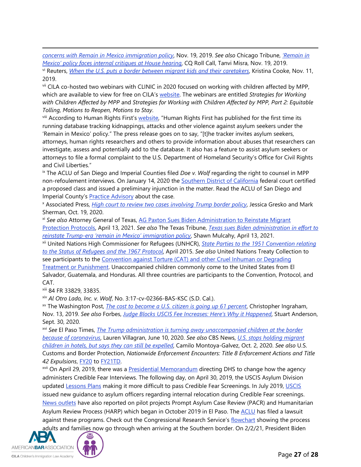*[concerns with Remain in Mexico immigration policy](https://www.americanbar.org/news/abanews/aba-news-archives/2019/11/aba-counsel-testifies-about-concerns-with-remain-in-mexico-immig/)*, Nov. 19, 2019. *See also* Chicago Tribune, *['Remain in](https://www.chicagotribune.com/sns-tns-bc-congress-immigration-20191119-story.html)  [Mexico' policy faces internal critiques at House hearing](https://www.chicagotribune.com/sns-tns-bc-congress-immigration-20191119-story.html)*, CQ Roll Call, Tanvi Misra, Nov. 19, 2019.

<span id="page-26-0"></span>vi Reuters, *[When the U.S. puts a border between migrant kids and their caretakers](https://www.reuters.com/article/us-usa-immigration-separations-insight/when-the-u-s-puts-a-border-between-migrant-kids-and-their-caretakers-idUSKCN1U618L)*, Kristina Cooke, Nov. 11, 2019.

<span id="page-26-1"></span>vii CILA co-hosted two webinars with CLINIC in 2020 focused on working with children affected by MPP, which are available to view for free on CILA's [website.](http://www.cilacademy.org/trainings/webinars/) The webinars are entitled *Strategies for Working with Children Affected by MPP* and *Strategies for Working with Children Affected by MPP, Part 2: Equitable Tolling, Motions to Reopen, Motions to Stay*.<br><sup>viii</sup> According to Human Rights First's [website,](https://www.humanrightsfirst.org/press-release/human-rights-first-publishes-running-database-attacks-asylum-seekers-under-mpp) "Human Rights First has published for the first time its

<span id="page-26-2"></span>running database tracking kidnappings, attacks and other violence against asylum seekers under the 'Remain in Mexico' policy." The press release goes on to say, "[t]he tracker invites asylum seekers, attorneys, human rights researchers and others to provide information about abuses that researchers can investigate, assess and potentially add to the database. It also has a feature to assist asylum seekers or attorneys to file a formal complaint to the U.S. Department of Homeland Security's Office for Civil Rights and Civil Liberties."

<span id="page-26-3"></span>ix The ACLU of San Diego and Imperial Counties filed *Doe v. Wolf* regarding the right to counsel in MPP non-refoulement interviews. On January 14, 2020 the **Southern District of California** federal court certified a proposed class and issued a preliminary injunction in the matter. Read the ACLU of San Diego and

<span id="page-26-4"></span>Imperial County's Practice Advisory about the case.<br>X Associated Press, *[High court to review two cases involving Trump border policy](https://apnews.com/article/joe-biden-mexico-elections-immigration-us-supreme-court-590c40215b964cae7c274f8936d72c8a)*, Jessica Gresko and Mark Sherman, Oct. 19, 2020.

<span id="page-26-5"></span>xi *See also* Attorney General of Texas, [AG Paxton Sues Biden Administration to Reinstate Migrant](https://www.texasattorneygeneral.gov/news/releases/ag-paxton-sues-biden-administration-reinstate-migrant-protection-protocols)  [Protection Protocols,](https://www.texasattorneygeneral.gov/news/releases/ag-paxton-sues-biden-administration-reinstate-migrant-protection-protocols) April 13, 2021. *See also* The Texas Tribune, *[Texas sues Biden administration in effort to](https://www.texastribune.org/2021/04/13/ken-paxton-migrant-protection-protocols/)  [reinstate Trump-era 'remain in Mexico'](https://www.texastribune.org/2021/04/13/ken-paxton-migrant-protection-protocols/) immigration policy*, Shawn Mulcahy, April 13, 2021.

<span id="page-26-6"></span>xii United Nations High Commissioner for Refugees (UNHCR), *[State Parties to the 1951 Convention relating](https://www.unhcr.org/en-us/protection/basic/3b73b0d63/states-parties-1951-convention-its-1967-protocol.html)  [to the Status of Refugees and the 1967 Protocol](https://www.unhcr.org/en-us/protection/basic/3b73b0d63/states-parties-1951-convention-its-1967-protocol.html)*, April 2015. *See also* United Nations Treaty Collection to see participants to the Convention against Torture (CAT) and other Cruel Inhuman or Degrading [Treatment or Punishment.](https://treaties.un.org/Pages/ViewDetails.aspx?src=TREATY&mtdsg_no=IV-9&chapter=4&clang=_en) Unaccompanied children commonly come to the United States from El Salvador, Guatemala, and Honduras. All three countries are participants to the Convention, Protocol, and CAT.

<span id="page-26-7"></span>xiii 84 FR 33829, 33835.

<span id="page-26-8"></span>xiv *Al Otro Lado, Inc. v. Wolf*, No. 3:17-cv-02366-BAS-KSC (S.D. Cal.).

<span id="page-26-9"></span>xv The Washington Post, *[The cost to become a U.S. citizen is going up 61 percent](https://www.washingtonpost.com/business/2019/11/13/cost-become-us-citizen-is-going-up-percent/)*, Christopher Ingraham, Nov. 13, 2019. *See also* Forbes, *[Judge Blocks USCIS Fee Increases: Here's Why it Happened](https://www.forbes.com/sites/stuartanderson/2020/09/30/judge-blocks-uscis-fee-increases-heres-why-it-happened/#4f47a5e7583a)*, Stuart Anderson, Sept. 30, 2020.

<span id="page-26-10"></span>xvi *See* El Paso Times, *[The Trump administration is turning away unaccompanied children at the border](https://www.usatoday.com/story/news/nation/2020/06/10/border-patrol-rejects-migrant-children-cdc-rule-amid-covid-19/5333392002/)  [because of coronavirus](https://www.usatoday.com/story/news/nation/2020/06/10/border-patrol-rejects-migrant-children-cdc-rule-amid-covid-19/5333392002/)*, Lauren Villagran, June 10, 2020. *See also* CBS News, *[U.S. stops holding migrant](https://www.cbsnews.com/news/u-s-stops-holding-migrant-children-in-hotels-but-says-they-can-still-be-expelled/)  [children in hotels, but says they can still be expelled](https://www.cbsnews.com/news/u-s-stops-holding-migrant-children-in-hotels-but-says-they-can-still-be-expelled/)*, Camilo Montoya-Galvez, Oct. 2, 2020. *See also* U.S. Customs and Border Protection, *Nationwide Enforcement Encounters: Title 8 Enforcement Actions and Title 42 Expulsions*, [FY20](https://www.cbp.gov/newsroom/stats/cbp-enforcement-statistics/title-8-and-title-42-statistics-fy2020) to [FY21TD.](https://www.cbp.gov/newsroom/stats/cbp-enforcement-statistics/title-8-and-title-42-statistics)

<span id="page-26-11"></span><sup>xvii</sup> On April 29, 2019, there was a **Presidential Memorandum** directing DHS to change how the agency administers Credible Fear Interviews. The following day, on April 30, 2019, the USCIS Asylum Division updated [Lessons Plans](https://fingfx.thomsonreuters.com/gfx/mkt/11/10239/10146/2019%20training%20document%20for%20asylum%20screenings.pdf) making it more difficult to pass Credible Fear Screenings. In July 2019, [USCIS](https://www.uscis.gov/news/news-releases/asylum-and-internal-relocation-guidance) issued new guidance to asylum officers regarding internal relocation during Credible Fear screenings. [News outlets](https://www.cbsnews.com/news/immigration-program-expediting-deportations-of-asylum-seekers-at-border-expands/) have also reported on pilot projects Prompt Asylum Case Review (PACR) and Humanitarian Asylum Review Process (HARP) which began in October 2019 in El Paso. The [ACLU](https://www.texastribune.org/2019/12/06/aclu-files-suit-stop-immigration-pilot-programs/) has filed a lawsuit against these programs. Check out the Congressional Research Service's [flowchart](https://crsreports.congress.gov/product/pdf/IG/IG10017) showing the process adults and families now go through when arriving at the Southern border. On 2/2/21, President Biden

ΔΤΔ AMERICANBARASSOCIATION **CILA** Children's Immigration Law Academy

Page **27** of **28**